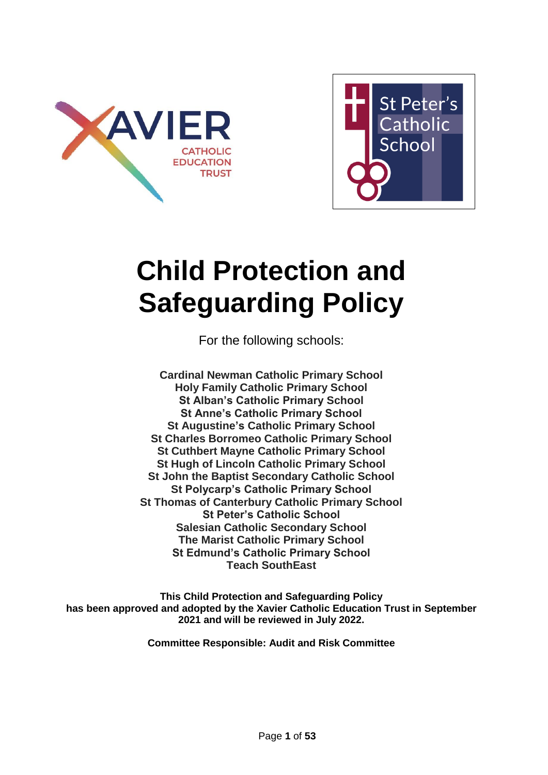



# **Child Protection and Safeguarding Policy**

For the following schools:

**Cardinal Newman Catholic Primary School Holy Family Catholic Primary School St Alban's Catholic Primary School St Anne's Catholic Primary School St Augustine's Catholic Primary School St Charles Borromeo Catholic Primary School St Cuthbert Mayne Catholic Primary School St Hugh of Lincoln Catholic Primary School St John the Baptist Secondary Catholic School St Polycarp's Catholic Primary School St Thomas of Canterbury Catholic Primary School St Peter's Catholic School Salesian Catholic Secondary School The Marist Catholic Primary School St Edmund's Catholic Primary School Teach SouthEast**

**This Child Protection and Safeguarding Policy has been approved and adopted by the Xavier Catholic Education Trust in September 2021 and will be reviewed in July 2022.**

**Committee Responsible: Audit and Risk Committee**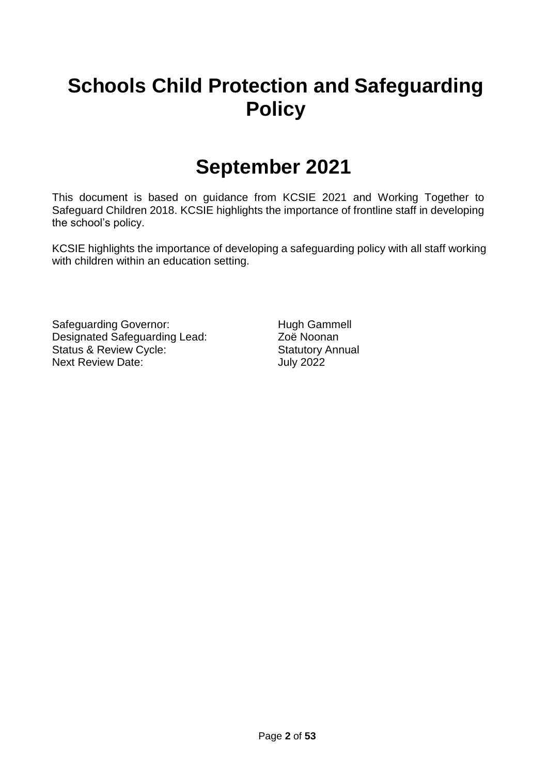## **Schools Child Protection and Safeguarding Policy**

## **September 2021**

This document is based on guidance from KCSIE 2021 and Working Together to Safeguard Children 2018. KCSIE highlights the importance of frontline staff in developing the school's policy.

KCSIE highlights the importance of developing a safeguarding policy with all staff working with children within an education setting.

Safeguarding Governor: Hugh Gammell Designated Safeguarding Lead: Zoë Noonan Status & Review Cycle: Statutory Annual Next Review Date: July 2022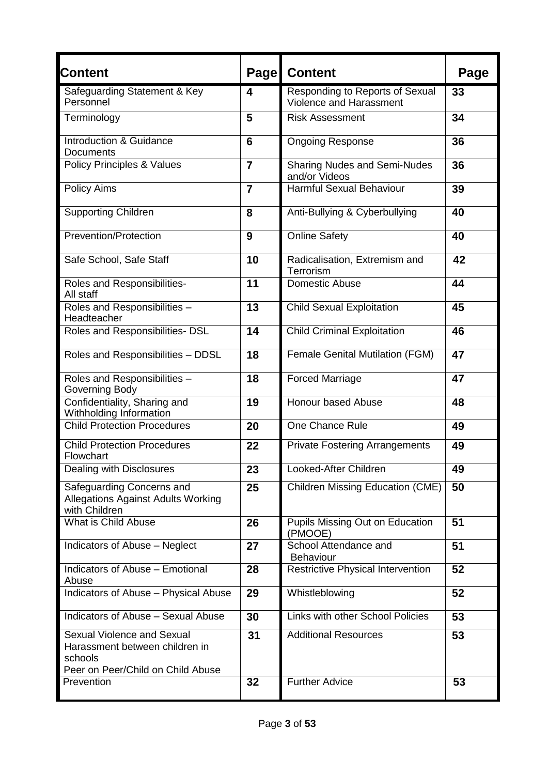| Content                                                                                                      | <b>Page</b>    | <b>Content</b>                                             | Page |
|--------------------------------------------------------------------------------------------------------------|----------------|------------------------------------------------------------|------|
| Safeguarding Statement & Key<br>Personnel                                                                    | 4              | Responding to Reports of Sexual<br>Violence and Harassment | 33   |
| Terminology                                                                                                  | 5              | <b>Risk Assessment</b>                                     | 34   |
| Introduction & Guidance<br><b>Documents</b>                                                                  | $6\phantom{1}$ | <b>Ongoing Response</b>                                    | 36   |
| <b>Policy Principles &amp; Values</b>                                                                        | $\overline{7}$ | <b>Sharing Nudes and Semi-Nudes</b><br>and/or Videos       | 36   |
| <b>Policy Aims</b>                                                                                           | $\overline{7}$ | <b>Harmful Sexual Behaviour</b>                            | 39   |
| <b>Supporting Children</b>                                                                                   | 8              | Anti-Bullying & Cyberbullying                              | 40   |
| Prevention/Protection                                                                                        | 9              | <b>Online Safety</b>                                       | 40   |
| Safe School, Safe Staff                                                                                      | 10             | Radicalisation, Extremism and<br>Terrorism                 | 42   |
| Roles and Responsibilities-<br>All staff                                                                     | 11             | Domestic Abuse                                             | 44   |
| Roles and Responsibilities -<br>Headteacher                                                                  | 13             | <b>Child Sexual Exploitation</b>                           | 45   |
| Roles and Responsibilities- DSL                                                                              | 14             | <b>Child Criminal Exploitation</b>                         | 46   |
| Roles and Responsibilities - DDSL                                                                            | 18             | <b>Female Genital Mutilation (FGM)</b>                     | 47   |
| Roles and Responsibilities -<br>Governing Body                                                               | 18             | <b>Forced Marriage</b>                                     | 47   |
| Confidentiality, Sharing and<br>Withholding Information                                                      | 19             | <b>Honour based Abuse</b>                                  | 48   |
| <b>Child Protection Procedures</b>                                                                           | 20             | One Chance Rule                                            | 49   |
| <b>Child Protection Procedures</b><br>Flowchart                                                              | 22             | <b>Private Fostering Arrangements</b>                      | 49   |
| Dealing with Disclosures                                                                                     | 23             | Looked-After Children                                      | 49   |
| Safeguarding Concerns and<br><b>Allegations Against Adults Working</b><br>with Children                      | 25             | <b>Children Missing Education (CME)</b>                    | 50   |
| What is Child Abuse                                                                                          | 26             | Pupils Missing Out on Education<br>(PMOOE)                 | 51   |
| Indicators of Abuse - Neglect                                                                                | 27             | School Attendance and<br>Behaviour                         | 51   |
| Indicators of Abuse - Emotional<br>Abuse                                                                     | 28             | <b>Restrictive Physical Intervention</b>                   | 52   |
| Indicators of Abuse - Physical Abuse                                                                         | 29             | Whistleblowing                                             | 52   |
| Indicators of Abuse - Sexual Abuse                                                                           | 30             | <b>Links with other School Policies</b>                    | 53   |
| Sexual Violence and Sexual<br>Harassment between children in<br>schools<br>Peer on Peer/Child on Child Abuse | 31             | <b>Additional Resources</b>                                | 53   |
| Prevention                                                                                                   | 32             | <b>Further Advice</b>                                      | 53   |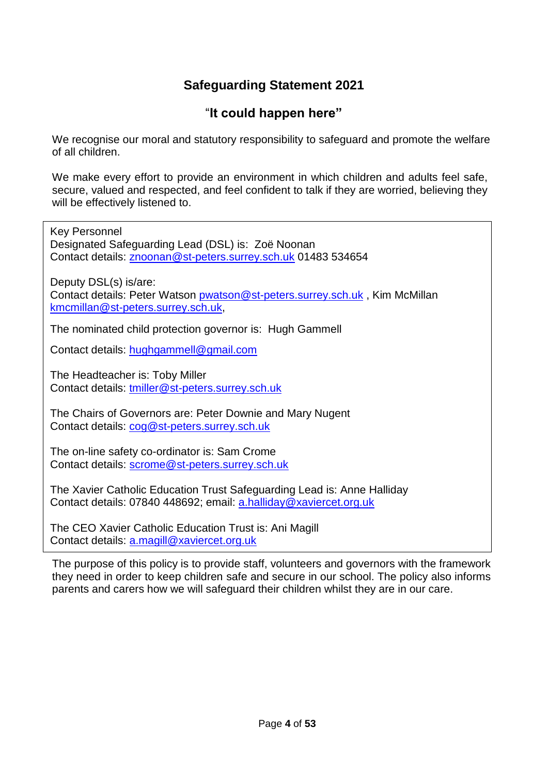### **Safeguarding Statement 2021**

### "**It could happen here"**

We recognise our moral and statutory responsibility to safeguard and promote the welfare of all children.

We make every effort to provide an environment in which children and adults feel safe, secure, valued and respected, and feel confident to talk if they are worried, believing they will be effectively listened to.

Key Personnel Designated Safeguarding Lead (DSL) is: Zoë Noonan Contact details: [znoonan@st-peters.surrey.sch.uk](mailto:znoonan@st-peters.surrey.sch.uk) 01483 534654 Deputy DSL(s) is/are: Contact details: Peter Watson [pwatson@st-peters.surrey.sch.uk](mailto:pwatson@st-peters.surrey.sch.uk) , Kim McMillan [kmcmillan@st-peters.surrey.sch.uk,](mailto:kmcmillan@st-peters.surrey.sch.uk)

The nominated child protection governor is: Hugh Gammell

Contact details: [hughgammell@gmail.com](mailto:hughgammell@gmail.com) 

The Headteacher is: Toby Miller Contact details: [tmiller@st-peters.surrey.sch.uk](mailto:tmiller@st-peters.surrey.sch.uk)

The Chairs of Governors are: Peter Downie and Mary Nugent Contact details: [cog@st-peters.surrey.sch.uk](mailto:cog@st-peters.surrey.sch.uk)

The on-line safety co-ordinator is: Sam Crome Contact details: [scrome@st-peters.surrey.sch.uk](mailto:scrome@st-peters.surrey.sch.uk)

The Xavier Catholic Education Trust Safeguarding Lead is: Anne Halliday Contact details: 07840 448692; email: [a.halliday@xaviercet.org.uk](mailto:a.halliday@xaviercet.org.uk)

The CEO Xavier Catholic Education Trust is: Ani Magill Contact details: [a.magill@xaviercet.org.uk](mailto:a.magill@xaviercet.org.uk) 

The purpose of this policy is to provide staff, volunteers and governors with the framework they need in order to keep children safe and secure in our school. The policy also informs parents and carers how we will safeguard their children whilst they are in our care.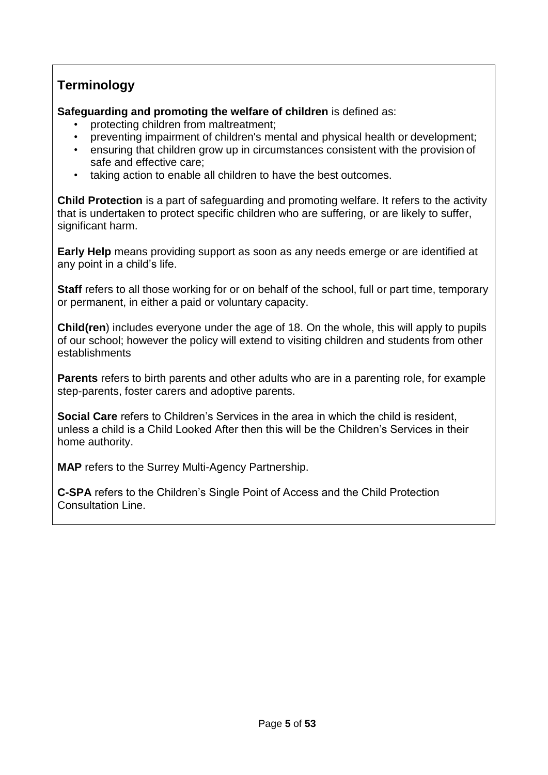### **Terminology**

**Safeguarding and promoting the welfare of children** is defined as:

- protecting children from maltreatment;
- preventing impairment of children's mental and physical health or development;
- ensuring that children grow up in circumstances consistent with the provision of safe and effective care;
- taking action to enable all children to have the best outcomes.

**Child Protection** is a part of safeguarding and promoting welfare. It refers to the activity that is undertaken to protect specific children who are suffering, or are likely to suffer, significant harm.

**Early Help** means providing support as soon as any needs emerge or are identified at any point in a child's life.

**Staff** refers to all those working for or on behalf of the school, full or part time, temporary or permanent, in either a paid or voluntary capacity.

**Child(ren**) includes everyone under the age of 18. On the whole, this will apply to pupils of our school; however the policy will extend to visiting children and students from other establishments

**Parents** refers to birth parents and other adults who are in a parenting role, for example step-parents, foster carers and adoptive parents.

**Social Care** refers to Children's Services in the area in which the child is resident, unless a child is a Child Looked After then this will be the Children's Services in their home authority.

**MAP** refers to the Surrey Multi-Agency Partnership.

**C-SPA** refers to the Children's Single Point of Access and the Child Protection Consultation Line.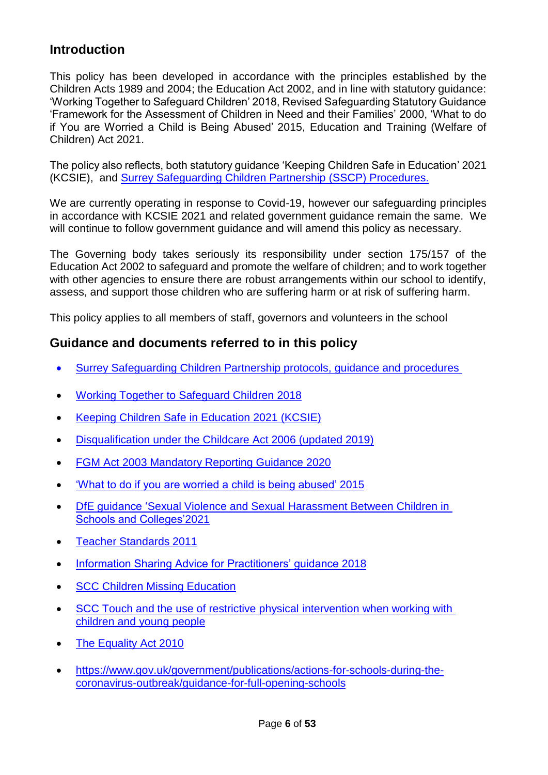### **Introduction**

This policy has been developed in accordance with the principles established by the Children Acts 1989 and 2004; the Education Act 2002, and in line with statutory guidance: 'Working Together to Safeguard Children' 2018, Revised Safeguarding Statutory Guidance 'Framework for the Assessment of Children in Need and their Families' 2000, 'What to do if You are Worried a Child is Being Abused' 2015, Education and Training (Welfare of Children) Act 2021.

The policy also reflects, both statutory guidance 'Keeping Children Safe in Education' 2021 (KCSIE), and [Surrey Safeguarding Children Partnership](https://www.surreyscp.org.uk/) (SSCP) Procedures.

We are currently operating in response to Covid-19, however our safeguarding principles in accordance with KCSIE 2021 and related government guidance remain the same. We will continue to follow government guidance and will amend this policy as necessary.

The Governing body takes seriously its responsibility under section 175/157 of the Education Act 2002 to safeguard and promote the welfare of children; and to work together with other agencies to ensure there are robust arrangements within our school to identify, assess, and support those children who are suffering harm or at risk of suffering harm.

This policy applies to all members of staff, governors and volunteers in the school

### **Guidance and documents referred to in this policy**

- [Surrey Safeguarding Children Partnership protocols, guidance and procedures](https://www.surreyscp.org.uk/)
- [Working Together to Safeguard Children](https://www.gov.uk/government/publications/working-together-to-safeguard-children--2) 2018
- Keeping Children Safe in Education 2021 (KCSIE)
- [Disqualification under the Childcare Act 2006 \(updated](https://www.gov.uk/government/publications/disqualification-under-the-childcare-act-2006/disqualification-under-the-childcare-act-2006) 2019)
- FGM Act 2003 Mandatory Reporting Guidance 2020
- ['What to do if you are worried a child is being abused'](https://assets.publishing.service.gov.uk/government/uploads/system/uploads/attachment_data/file/419604/What_to_do_if_you_re_worried_a_child_is_being_abused.pdf) 2015
- DfE guidance ['Sexual Violence and Sexual Harassment Between Children in](https://www.gov.uk/government/publications/sexual-violence-and-sexual-harassment-between-children-in-schools-and-colleges)  [Schools and Colleges'2](https://www.gov.uk/government/publications/sexual-violence-and-sexual-harassment-between-children-in-schools-and-colleges)021
- [Teacher Standards](https://assets.publishing.service.gov.uk/government/uploads/system/uploads/attachment_data/file/665520/Teachers__Standards.pdf) 2011
- [Information Sharing Advice for Practitioners' guidance](https://www.gov.uk/government/publications/safeguarding-practitioners-information-sharing-advice) 2018
- [SCC Children Missing](https://www.surreycc.gov.uk/__data/assets/pdf_file/0005/109589/Final-CME-Policy-2017-ver-2-updated-nov17.pdf) Education
- SCC Touch and the use of restrictive physical intervention when working with [children and young people](https://surreycountycouncil.newsweaver.co.uk/icfiles/1/31744/73505/5848929/3fa0864ac6cfd73d94daedc3/touch%20and%20the%20use%20of%20restrictive%20physical%20intervention%20when%20working%20w_7.pdf)
- [The Equality Act](https://assets.publishing.service.gov.uk/government/uploads/system/uploads/attachment_data/file/315587/Equality_Act_Advice_Final.pdf) 2010
- [https://www.gov.uk/government/publications/actions-for-schools-during-the](https://www.gov.uk/government/publications/actions-for-schools-during-the-coronavirus-outbreak/guidance-for-full-opening-schools)[coronavirus-outbreak/guidance-for-full-opening-schools](https://www.gov.uk/government/publications/actions-for-schools-during-the-coronavirus-outbreak/guidance-for-full-opening-schools)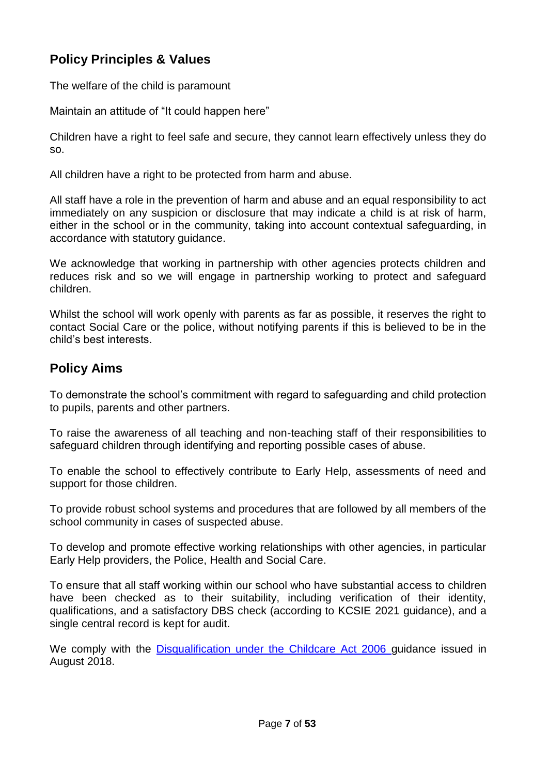### **Policy Principles & Values**

The welfare of the child is paramount

Maintain an attitude of "It could happen here"

Children have a right to feel safe and secure, they cannot learn effectively unless they do so.

All children have a right to be protected from harm and abuse.

All staff have a role in the prevention of harm and abuse and an equal responsibility to act immediately on any suspicion or disclosure that may indicate a child is at risk of harm, either in the school or in the community, taking into account contextual safeguarding, in accordance with statutory guidance.

We acknowledge that working in partnership with other agencies protects children and reduces risk and so we will engage in partnership working to protect and safeguard children.

Whilst the school will work openly with parents as far as possible, it reserves the right to contact Social Care or the police, without notifying parents if this is believed to be in the child's best interests.

### **Policy Aims**

To demonstrate the school's commitment with regard to safeguarding and child protection to pupils, parents and other partners.

To raise the awareness of all teaching and non-teaching staff of their responsibilities to safeguard children through identifying and reporting possible cases of abuse.

To enable the school to effectively contribute to Early Help, assessments of need and support for those children.

To provide robust school systems and procedures that are followed by all members of the school community in cases of suspected abuse.

To develop and promote effective working relationships with other agencies, in particular Early Help providers, the Police, Health and Social Care.

To ensure that all staff working within our school who have substantial access to children have been checked as to their suitability, including verification of their identity, qualifications, and a satisfactory DBS check (according to KCSIE 2021 guidance), and a single central record is kept for audit.

We comply with the [Disqualification under the Childcare Act 2006 g](https://www.gov.uk/government/publications/disqualification-under-the-childcare-act-2006/disqualification-under-the-childcare-act-2006)uidance issued in August 2018.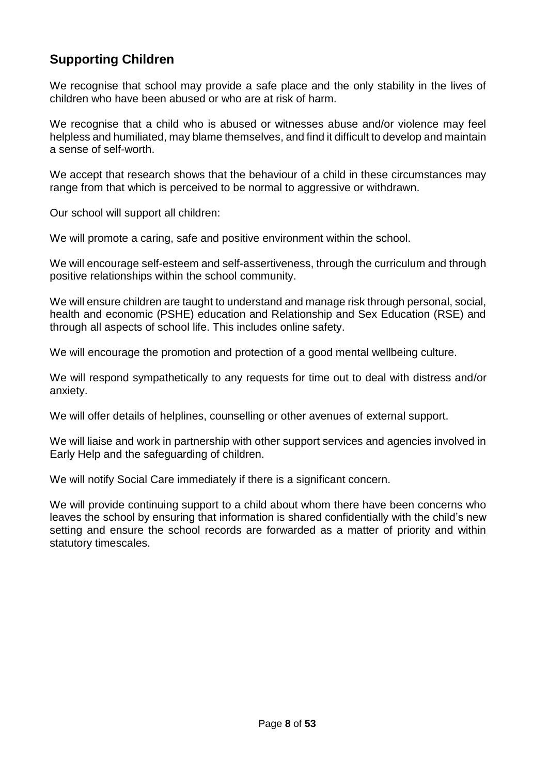### **Supporting Children**

We recognise that school may provide a safe place and the only stability in the lives of children who have been abused or who are at risk of harm.

We recognise that a child who is abused or witnesses abuse and/or violence may feel helpless and humiliated, may blame themselves, and find it difficult to develop and maintain a sense of self-worth.

We accept that research shows that the behaviour of a child in these circumstances may range from that which is perceived to be normal to aggressive or withdrawn.

Our school will support all children:

We will promote a caring, safe and positive environment within the school.

We will encourage self-esteem and self-assertiveness, through the curriculum and through positive relationships within the school community.

We will ensure children are taught to understand and manage risk through personal, social, health and economic (PSHE) education and Relationship and Sex Education (RSE) and through all aspects of school life. This includes online safety.

We will encourage the promotion and protection of a good mental wellbeing culture.

We will respond sympathetically to any requests for time out to deal with distress and/or anxiety.

We will offer details of helplines, counselling or other avenues of external support.

We will liaise and work in partnership with other support services and agencies involved in Early Help and the safeguarding of children.

We will notify Social Care immediately if there is a significant concern.

We will provide continuing support to a child about whom there have been concerns who leaves the school by ensuring that information is shared confidentially with the child's new setting and ensure the school records are forwarded as a matter of priority and within statutory timescales.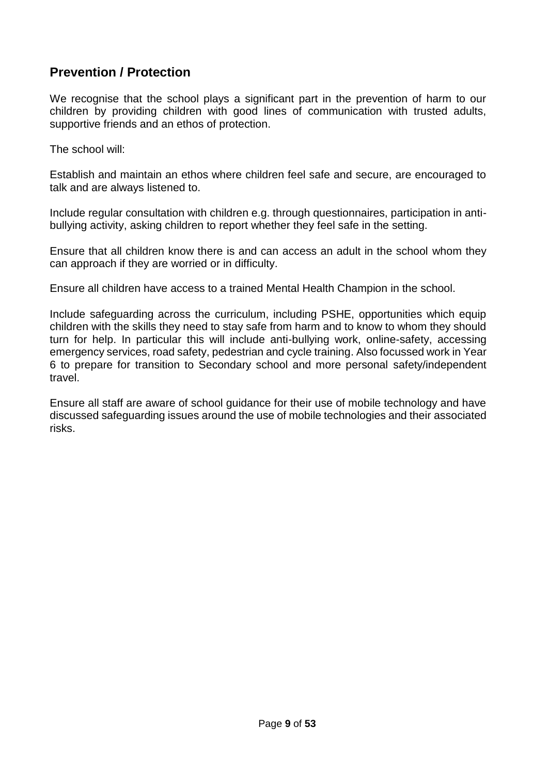### **Prevention / Protection**

We recognise that the school plays a significant part in the prevention of harm to our children by providing children with good lines of communication with trusted adults, supportive friends and an ethos of protection.

The school will:

Establish and maintain an ethos where children feel safe and secure, are encouraged to talk and are always listened to.

Include regular consultation with children e.g. through questionnaires, participation in antibullying activity, asking children to report whether they feel safe in the setting.

Ensure that all children know there is and can access an adult in the school whom they can approach if they are worried or in difficulty.

Ensure all children have access to a trained Mental Health Champion in the school.

Include safeguarding across the curriculum, including PSHE, opportunities which equip children with the skills they need to stay safe from harm and to know to whom they should turn for help. In particular this will include anti-bullying work, online-safety, accessing emergency services, road safety, pedestrian and cycle training. Also focussed work in Year 6 to prepare for transition to Secondary school and more personal safety/independent travel.

Ensure all staff are aware of school guidance for their use of mobile technology and have discussed safeguarding issues around the use of mobile technologies and their associated risks.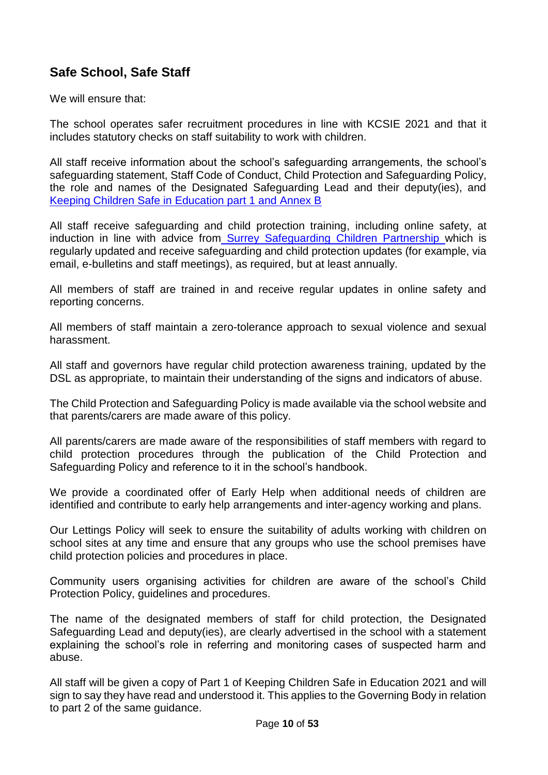### **Safe School, Safe Staff**

We will ensure that:

The school operates safer recruitment procedures in line with KCSIE 2021 and that it includes statutory checks on staff suitability to work with children.

All staff receive information about the school's safeguarding arrangements, the school's safeguarding statement, Staff Code of Conduct, Child Protection and Safeguarding Policy, the role and names of the Designated Safeguarding Lead and their deputy(ies), and Keeping Children Safe in Education part 1 and Annex B

All staff receive safeguarding and child protection training, including online safety, at induction in line with advice from Surrey Safeguarding Children Partnership which is regularly updated and receive safeguarding and child protection updates (for example, via email, e-bulletins and staff meetings), as required, but at least annually.

All members of staff are trained in and receive regular updates in online safety and reporting concerns.

All members of staff maintain a zero-tolerance approach to sexual violence and sexual harassment.

All staff and governors have regular child protection awareness training, updated by the DSL as appropriate, to maintain their understanding of the signs and indicators of abuse.

The Child Protection and Safeguarding Policy is made available via the school website and that parents/carers are made aware of this policy.

All parents/carers are made aware of the responsibilities of staff members with regard to child protection procedures through the publication of the Child Protection and Safeguarding Policy and reference to it in the school's handbook.

We provide a coordinated offer of Early Help when additional needs of children are identified and contribute to early help arrangements and inter-agency working and plans.

Our Lettings Policy will seek to ensure the suitability of adults working with children on school sites at any time and ensure that any groups who use the school premises have child protection policies and procedures in place.

Community users organising activities for children are aware of the school's Child Protection Policy, guidelines and procedures.

The name of the designated members of staff for child protection, the Designated Safeguarding Lead and deputy(ies), are clearly advertised in the school with a statement explaining the school's role in referring and monitoring cases of suspected harm and abuse.

All staff will be given a copy of Part 1 of Keeping Children Safe in Education 2021 and will sign to say they have read and understood it. This applies to the Governing Body in relation to part 2 of the same guidance.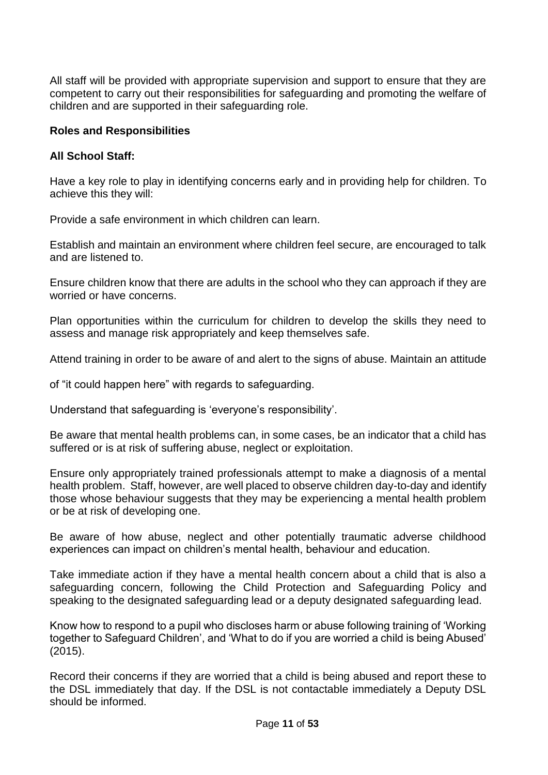All staff will be provided with appropriate supervision and support to ensure that they are competent to carry out their responsibilities for safeguarding and promoting the welfare of children and are supported in their safeguarding role.

#### **Roles and Responsibilities**

#### **All School Staff:**

Have a key role to play in identifying concerns early and in providing help for children. To achieve this they will:

Provide a safe environment in which children can learn.

Establish and maintain an environment where children feel secure, are encouraged to talk and are listened to.

Ensure children know that there are adults in the school who they can approach if they are worried or have concerns.

Plan opportunities within the curriculum for children to develop the skills they need to assess and manage risk appropriately and keep themselves safe.

Attend training in order to be aware of and alert to the signs of abuse. Maintain an attitude

of "it could happen here" with regards to safeguarding.

Understand that safeguarding is 'everyone's responsibility'.

Be aware that mental health problems can, in some cases, be an indicator that a child has suffered or is at risk of suffering abuse, neglect or exploitation.

Ensure only appropriately trained professionals attempt to make a diagnosis of a mental health problem. Staff, however, are well placed to observe children day-to-day and identify those whose behaviour suggests that they may be experiencing a mental health problem or be at risk of developing one.

Be aware of how abuse, neglect and other potentially traumatic adverse childhood experiences can impact on children's mental health, behaviour and education.

Take immediate action if they have a mental health concern about a child that is also a safeguarding concern, following the Child Protection and Safeguarding Policy and speaking to the designated safeguarding lead or a deputy designated safeguarding lead.

Know how to respond to a pupil who discloses harm or abuse following training of 'Working together to Safeguard Children', and 'What to do if you are worried a child is being Abused' (2015).

Record their concerns if they are worried that a child is being abused and report these to the DSL immediately that day. If the DSL is not contactable immediately a Deputy DSL should be informed.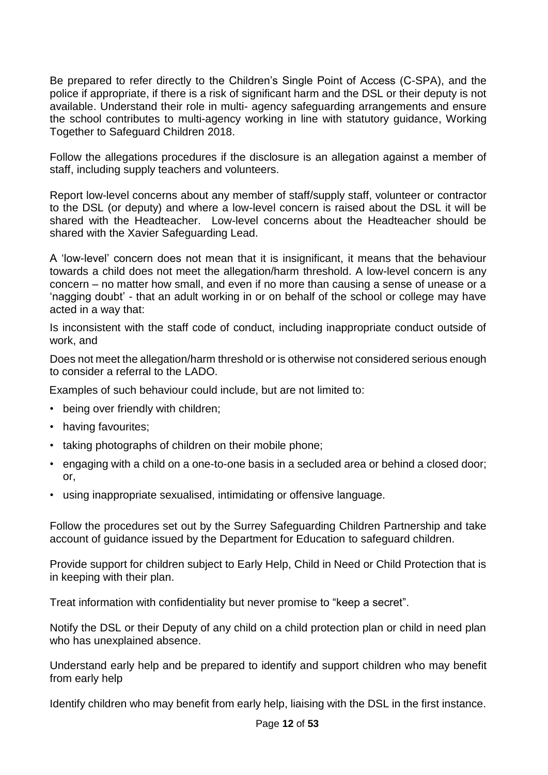Be prepared to refer directly to the Children's Single Point of Access (C-SPA), and the police if appropriate, if there is a risk of significant harm and the DSL or their deputy is not available. Understand their role in multi- agency safeguarding arrangements and ensure the school contributes to multi-agency working in line with statutory guidance, Working Together to Safeguard Children 2018.

Follow the allegations procedures if the disclosure is an allegation against a member of staff, including supply teachers and volunteers.

Report low-level concerns about any member of staff/supply staff, volunteer or contractor to the DSL (or deputy) and where a low-level concern is raised about the DSL it will be shared with the Headteacher. Low-level concerns about the Headteacher should be shared with the Xavier Safeguarding Lead.

A 'low-level' concern does not mean that it is insignificant, it means that the behaviour towards a child does not meet the allegation/harm threshold. A low-level concern is any concern – no matter how small, and even if no more than causing a sense of unease or a 'nagging doubt' - that an adult working in or on behalf of the school or college may have acted in a way that:

Is inconsistent with the staff code of conduct, including inappropriate conduct outside of work, and

Does not meet the allegation/harm threshold or is otherwise not considered serious enough to consider a referral to the LADO.

Examples of such behaviour could include, but are not limited to:

- being over friendly with children;
- having favourites;
- taking photographs of children on their mobile phone;
- engaging with a child on a one-to-one basis in a secluded area or behind a closed door; or,
- using inappropriate sexualised, intimidating or offensive language.

Follow the procedures set out by the Surrey Safeguarding Children Partnership and take account of guidance issued by the Department for Education to safeguard children.

Provide support for children subject to Early Help, Child in Need or Child Protection that is in keeping with their plan.

Treat information with confidentiality but never promise to "keep a secret".

Notify the DSL or their Deputy of any child on a child protection plan or child in need plan who has unexplained absence.

Understand early help and be prepared to identify and support children who may benefit from early help

Identify children who may benefit from early help, liaising with the DSL in the first instance.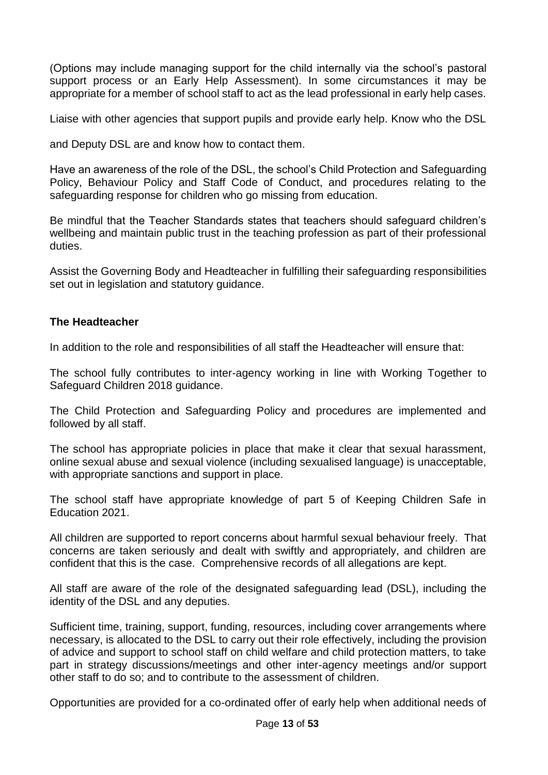(Options may include managing support for the child internally via the school's pastoral support process or an Early Help Assessment). In some circumstances it may be appropriate for a member of school staff to act as the lead professional in early help cases.

Liaise with other agencies that support pupils and provide early help. Know who the DSL

and Deputy DSL are and know how to contact them.

Have an awareness of the role of the DSL, the school's Child Protection and Safeguarding Policy, Behaviour Policy and Staff Code of Conduct, and procedures relating to the safeguarding response for children who go missing from education.

Be mindful that the Teacher Standards states that teachers should safeguard children's wellbeing and maintain public trust in the teaching profession as part of their professional duties.

Assist the Governing Body and Headteacher in fulfilling their safeguarding responsibilities set out in legislation and statutory guidance.

#### **The Headteacher**

In addition to the role and responsibilities of all staff the Headteacher will ensure that:

The school fully contributes to inter-agency working in line with Working Together to Safeguard Children 2018 guidance.

The Child Protection and Safeguarding Policy and procedures are implemented and followed by all staff.

The school has appropriate policies in place that make it clear that sexual harassment, online sexual abuse and sexual violence (including sexualised language) is unacceptable, with appropriate sanctions and support in place.

The school staff have appropriate knowledge of part 5 of Keeping Children Safe in Education 2021.

All children are supported to report concerns about harmful sexual behaviour freely. That concerns are taken seriously and dealt with swiftly and appropriately, and children are confident that this is the case. Comprehensive records of all allegations are kept.

All staff are aware of the role of the designated safeguarding lead (DSL), including the identity of the DSL and any deputies.

Sufficient time, training, support, funding, resources, including cover arrangements where necessary, is allocated to the DSL to carry out their role effectively, including the provision of advice and support to school staff on child welfare and child protection matters, to take part in strategy discussions/meetings and other inter-agency meetings and/or support other staff to do so; and to contribute to the assessment of children.

Opportunities are provided for a co-ordinated offer of early help when additional needs of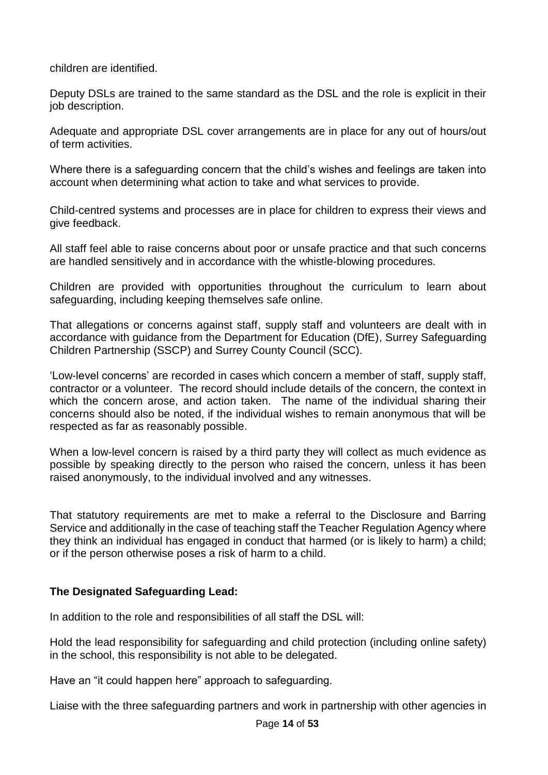children are identified.

Deputy DSLs are trained to the same standard as the DSL and the role is explicit in their job description.

Adequate and appropriate DSL cover arrangements are in place for any out of hours/out of term activities.

Where there is a safeguarding concern that the child's wishes and feelings are taken into account when determining what action to take and what services to provide.

Child-centred systems and processes are in place for children to express their views and give feedback.

All staff feel able to raise concerns about poor or unsafe practice and that such concerns are handled sensitively and in accordance with the whistle-blowing procedures.

Children are provided with opportunities throughout the curriculum to learn about safeguarding, including keeping themselves safe online.

That allegations or concerns against staff, supply staff and volunteers are dealt with in accordance with guidance from the Department for Education (DfE), Surrey Safeguarding Children Partnership (SSCP) and Surrey County Council (SCC).

'Low-level concerns' are recorded in cases which concern a member of staff, supply staff, contractor or a volunteer. The record should include details of the concern, the context in which the concern arose, and action taken. The name of the individual sharing their concerns should also be noted, if the individual wishes to remain anonymous that will be respected as far as reasonably possible.

When a low-level concern is raised by a third party they will collect as much evidence as possible by speaking directly to the person who raised the concern, unless it has been raised anonymously, to the individual involved and any witnesses.

That statutory requirements are met to make a referral to the Disclosure and Barring Service and additionally in the case of teaching staff the Teacher Regulation Agency where they think an individual has engaged in conduct that harmed (or is likely to harm) a child; or if the person otherwise poses a risk of harm to a child.

#### **The Designated Safeguarding Lead:**

In addition to the role and responsibilities of all staff the DSL will:

Hold the lead responsibility for safeguarding and child protection (including online safety) in the school, this responsibility is not able to be delegated.

Have an "it could happen here" approach to safeguarding.

Liaise with the three safeguarding partners and work in partnership with other agencies in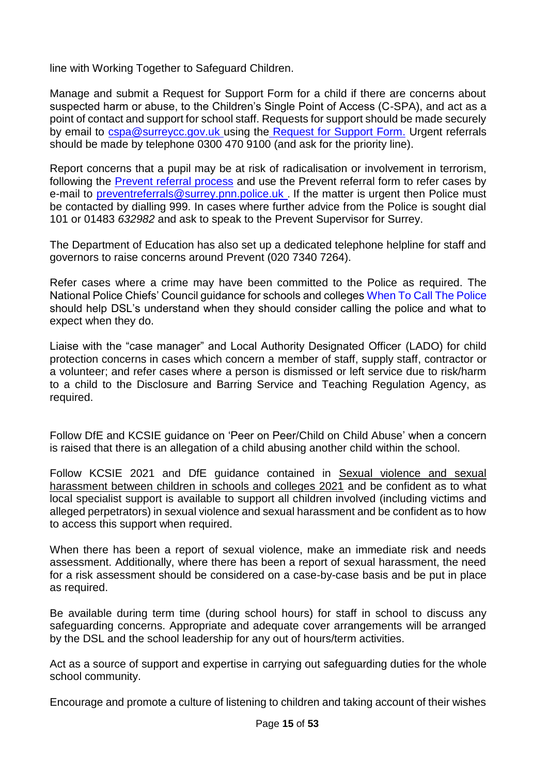line with Working Together to Safeguard Children.

Manage and submit a Request for Support Form for a child if there are concerns about suspected harm or abuse, to the Children's Single Point of Access (C-SPA), and act as a point of contact and support for school staff. Requests for support should be made securely by email to [cspa@surreycc.gov.uk](mailto:cspa@surreycc.gov.uk) using the [Request for Support Form.](https://www.surreyscb.org.uk/resources-category/sscbmultiagencyforms/) Urgent referrals should be made by telephone 0300 470 9100 (and ask for the priority line).

Report concerns that a pupil may be at risk of radicalisation or involvement in terrorism, following the [Prevent referral process](https://www.surreyscb.org.uk/2018/12/16/prevent-referral-process-september-2018/) and use the Prevent referral form to refer cases by e-mail to [preventreferrals@surrey.pnn.police.uk](mailto:preventreferrals@surrey.pnn.police.uk) . If the matter is urgent then Police must be contacted by dialling 999. In cases where further advice from the Police is sought dial 101 or 01483 *632982* and ask to speak to the Prevent Supervisor for Surrey.

The Department of Education has also set up a dedicated telephone helpline for staff and governors to raise concerns around Prevent (020 7340 7264).

Refer cases where a crime may have been committed to the Police as required. The National Police Chiefs' Council guidance for schools and colleges When To [Call The Police](https://www.npcc.police.uk/documents/Children%20and%20Young%20people/When%20to%20call%20the%20police%20guidance%20for%20schools%20and%20colleges.pdf) should help DSL's understand when they should consider calling the police and what to expect when they do.

Liaise with the "case manager" and Local Authority Designated Officer (LADO) for child protection concerns in cases which concern a member of staff, supply staff, contractor or a volunteer; and refer cases where a person is dismissed or left service due to risk/harm to a child to the Disclosure and Barring Service and Teaching Regulation Agency, as required.

Follow DfE and KCSIE guidance on 'Peer on Peer/Child on Child Abuse' when a concern is raised that there is an allegation of a child abusing another child within the school.

Follow KCSIE 2021 and DfE guidance contained in Sexual violence and sexual [harassment between children in schools and colleges 2021](https://www.gov.uk/government/publications/sexual-violence-and-sexual-harassment-between-children-in-schools-and-collegesBe) and be confident as to what local specialist support is available to support all children involved (including victims and alleged perpetrators) in sexual violence and sexual harassment and be confident as to how to access this support when required.

When there has been a report of sexual violence, make an immediate risk and needs assessment. Additionally, where there has been a report of sexual harassment, the need for a risk assessment should be considered on a case-by-case basis and be put in place as required.

Be available during term time (during school hours) for staff in school to discuss any safeguarding concerns. Appropriate and adequate cover arrangements will be arranged by the DSL and the school leadership for any out of hours/term activities.

Act as a source of support and expertise in carrying out safeguarding duties for the whole school community.

Encourage and promote a culture of listening to children and taking account of their wishes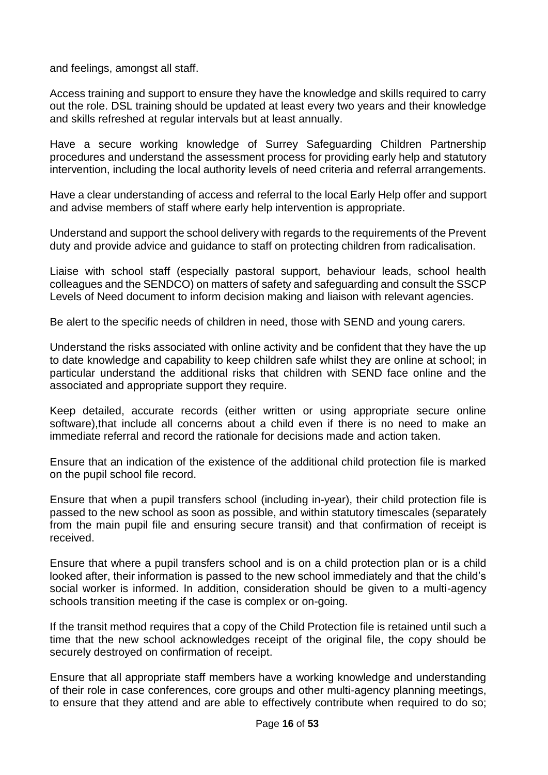and feelings, amongst all staff.

Access training and support to ensure they have the knowledge and skills required to carry out the role. DSL training should be updated at least every two years and their knowledge and skills refreshed at regular intervals but at least annually.

Have a secure working knowledge of Surrey Safeguarding Children Partnership procedures and understand the assessment process for providing early help and statutory intervention, including the local authority levels of need criteria and referral arrangements.

Have a clear understanding of access and referral to the local Early Help offer and support and advise members of staff where early help intervention is appropriate.

Understand and support the school delivery with regards to the requirements of the Prevent duty and provide advice and guidance to staff on protecting children from radicalisation.

Liaise with school staff (especially pastoral support, behaviour leads, school health colleagues and the SENDCO) on matters of safety and safeguarding and consult the SSCP Levels of Need document to inform decision making and liaison with relevant agencies.

Be alert to the specific needs of children in need, those with SEND and young carers.

Understand the risks associated with online activity and be confident that they have the up to date knowledge and capability to keep children safe whilst they are online at school; in particular understand the additional risks that children with SEND face online and the associated and appropriate support they require.

Keep detailed, accurate records (either written or using appropriate secure online software),that include all concerns about a child even if there is no need to make an immediate referral and record the rationale for decisions made and action taken.

Ensure that an indication of the existence of the additional child protection file is marked on the pupil school file record.

Ensure that when a pupil transfers school (including in-year), their child protection file is passed to the new school as soon as possible, and within statutory timescales (separately from the main pupil file and ensuring secure transit) and that confirmation of receipt is received.

Ensure that where a pupil transfers school and is on a child protection plan or is a child looked after, their information is passed to the new school immediately and that the child's social worker is informed. In addition, consideration should be given to a multi-agency schools transition meeting if the case is complex or on-going.

If the transit method requires that a copy of the Child Protection file is retained until such a time that the new school acknowledges receipt of the original file, the copy should be securely destroyed on confirmation of receipt.

Ensure that all appropriate staff members have a working knowledge and understanding of their role in case conferences, core groups and other multi-agency planning meetings, to ensure that they attend and are able to effectively contribute when required to do so;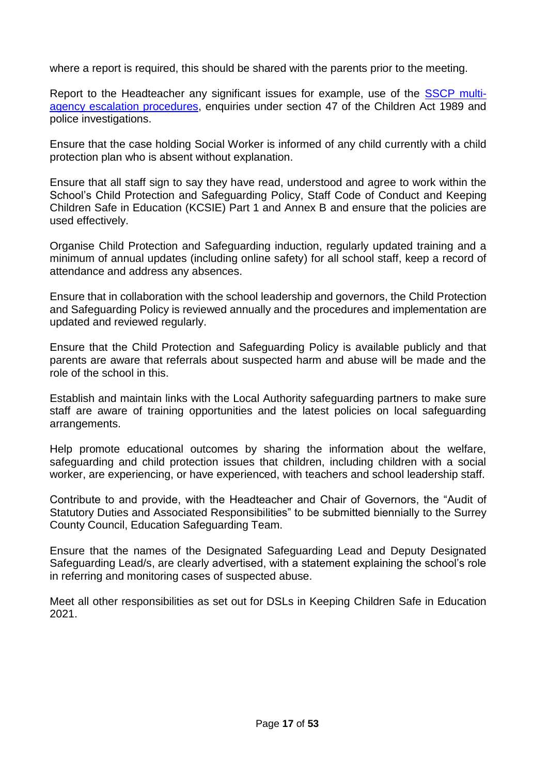where a report is required, this should be shared with the parents prior to the meeting.

Report to the Headteacher any significant issues for example, use of the [SSCP multi](http://www.surreyscb.org.uk/?s=escalation%2Bpolicy)[agency escalation procedures,](http://www.surreyscb.org.uk/?s=escalation%2Bpolicy) enquiries under section 47 of the Children Act 1989 and police investigations.

Ensure that the case holding Social Worker is informed of any child currently with a child protection plan who is absent without explanation.

Ensure that all staff sign to say they have read, understood and agree to work within the School's Child Protection and Safeguarding Policy, Staff Code of Conduct and Keeping Children Safe in Education (KCSIE) Part 1 and Annex B and ensure that the policies are used effectively.

Organise Child Protection and Safeguarding induction, regularly updated training and a minimum of annual updates (including online safety) for all school staff, keep a record of attendance and address any absences.

Ensure that in collaboration with the school leadership and governors, the Child Protection and Safeguarding Policy is reviewed annually and the procedures and implementation are updated and reviewed regularly.

Ensure that the Child Protection and Safeguarding Policy is available publicly and that parents are aware that referrals about suspected harm and abuse will be made and the role of the school in this.

Establish and maintain links with the Local Authority safeguarding partners to make sure staff are aware of training opportunities and the latest policies on local safeguarding arrangements.

Help promote educational outcomes by sharing the information about the welfare, safeguarding and child protection issues that children, including children with a social worker, are experiencing, or have experienced, with teachers and school leadership staff.

Contribute to and provide, with the Headteacher and Chair of Governors, the "Audit of Statutory Duties and Associated Responsibilities" to be submitted biennially to the Surrey County Council, Education Safeguarding Team.

Ensure that the names of the Designated Safeguarding Lead and Deputy Designated Safeguarding Lead/s, are clearly advertised, with a statement explaining the school's role in referring and monitoring cases of suspected abuse.

Meet all other responsibilities as set out for DSLs in Keeping Children Safe in Education 2021.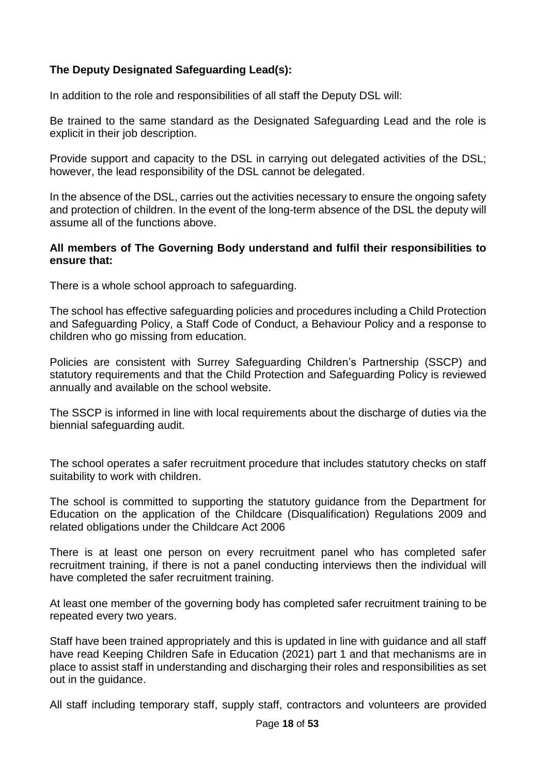#### **The Deputy Designated Safeguarding Lead(s):**

In addition to the role and responsibilities of all staff the Deputy DSL will:

Be trained to the same standard as the Designated Safeguarding Lead and the role is explicit in their job description.

Provide support and capacity to the DSL in carrying out delegated activities of the DSL; however, the lead responsibility of the DSL cannot be delegated.

In the absence of the DSL, carries out the activities necessary to ensure the ongoing safety and protection of children. In the event of the long-term absence of the DSL the deputy will assume all of the functions above.

#### **All members of The Governing Body understand and fulfil their responsibilities to ensure that:**

There is a whole school approach to safeguarding.

The school has effective safeguarding policies and procedures including a Child Protection and Safeguarding Policy, a Staff Code of Conduct, a Behaviour Policy and a response to children who go missing from education.

Policies are consistent with Surrey Safeguarding Children's Partnership (SSCP) and statutory requirements and that the Child Protection and Safeguarding Policy is reviewed annually and available on the school website.

The SSCP is informed in line with local requirements about the discharge of duties via the biennial safeguarding audit.

The school operates a safer recruitment procedure that includes statutory checks on staff suitability to work with children.

The school is committed to supporting the statutory guidance from the Department for Education on the application of the Childcare (Disqualification) Regulations 2009 and related obligations under the Childcare Act 2006

There is at least one person on every recruitment panel who has completed safer recruitment training, if there is not a panel conducting interviews then the individual will have completed the safer recruitment training.

At least one member of the governing body has completed safer recruitment training to be repeated every two years.

Staff have been trained appropriately and this is updated in line with guidance and all staff have read Keeping Children Safe in Education (2021) part 1 and that mechanisms are in place to assist staff in understanding and discharging their roles and responsibilities as set out in the guidance.

All staff including temporary staff, supply staff, contractors and volunteers are provided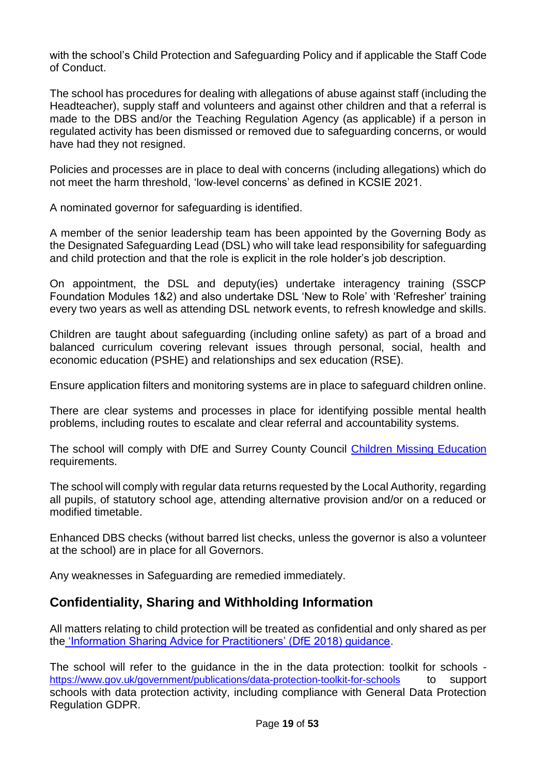with the school's Child Protection and Safeguarding Policy and if applicable the Staff Code of Conduct.

The school has procedures for dealing with allegations of abuse against staff (including the Headteacher), supply staff and volunteers and against other children and that a referral is made to the DBS and/or the Teaching Regulation Agency (as applicable) if a person in regulated activity has been dismissed or removed due to safeguarding concerns, or would have had they not resigned.

Policies and processes are in place to deal with concerns (including allegations) which do not meet the harm threshold, 'low-level concerns' as defined in KCSIE 2021.

A nominated governor for safeguarding is identified.

A member of the senior leadership team has been appointed by the Governing Body as the Designated Safeguarding Lead (DSL) who will take lead responsibility for safeguarding and child protection and that the role is explicit in the role holder's job description.

On appointment, the DSL and deputy(ies) undertake interagency training (SSCP Foundation Modules 1&2) and also undertake DSL 'New to Role' with 'Refresher' training every two years as well as attending DSL network events, to refresh knowledge and skills.

Children are taught about safeguarding (including online safety) as part of a broad and balanced curriculum covering relevant issues through personal, social, health and economic education (PSHE) and relationships and sex education (RSE).

Ensure application filters and monitoring systems are in place to safeguard children online.

There are clear systems and processes in place for identifying possible mental health problems, including routes to escalate and clear referral and accountability systems.

The school will comply with DfE and Surrey County Council [Children Missing Education](https://www.surreycc.gov.uk/__data/assets/pdf_file/0005/109589/Final-CME-Policy-2017-ver-2-updated-nov17.pdf) requirements.

The school will comply with regular data returns requested by the Local Authority, regarding all pupils, of statutory school age, attending alternative provision and/or on a reduced or modified timetable.

Enhanced DBS checks (without barred list checks, unless the governor is also a volunteer at the school) are in place for all Governors.

Any weaknesses in Safeguarding are remedied immediately.

### **Confidentiality, Sharing and Withholding Information**

All matters relating to child protection will be treated as confidential and only shared as per the ['Information Sharing Advice for Practitioners' \(DfE 2018\) guidance.](https://www.gov.uk/government/publications/safeguarding-practitioners-information-sharing-advice)

The school will refer to the guidance in the in the data protection: toolkit for schools <https://www.gov.uk/government/publications/data-protection-toolkit-for-schools>to support schools with data protection activity, including compliance with General Data Protection Regulation GDPR.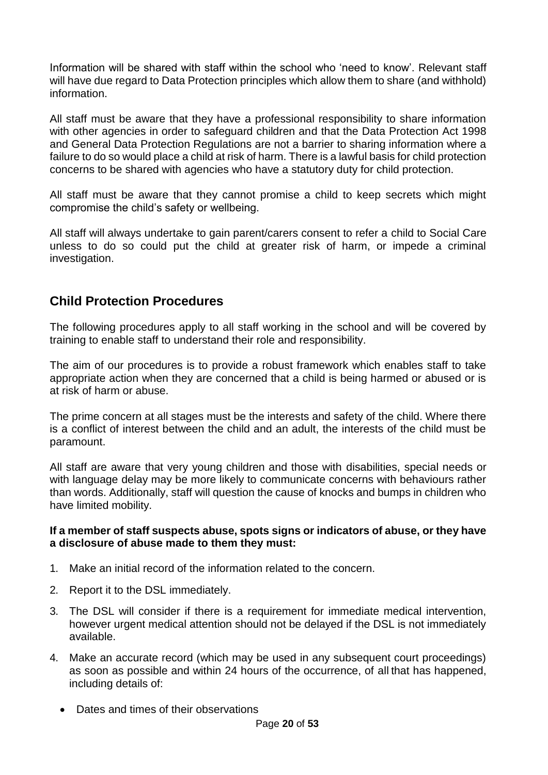Information will be shared with staff within the school who 'need to know'. Relevant staff will have due regard to Data Protection principles which allow them to share (and withhold) information.

All staff must be aware that they have a professional responsibility to share information with other agencies in order to safeguard children and that the Data Protection Act 1998 and General Data Protection Regulations are not a barrier to sharing information where a failure to do so would place a child at risk of harm. There is a lawful basis for child protection concerns to be shared with agencies who have a statutory duty for child protection.

All staff must be aware that they cannot promise a child to keep secrets which might compromise the child's safety or wellbeing.

All staff will always undertake to gain parent/carers consent to refer a child to Social Care unless to do so could put the child at greater risk of harm, or impede a criminal investigation.

### **Child Protection Procedures**

The following procedures apply to all staff working in the school and will be covered by training to enable staff to understand their role and responsibility.

The aim of our procedures is to provide a robust framework which enables staff to take appropriate action when they are concerned that a child is being harmed or abused or is at risk of harm or abuse.

The prime concern at all stages must be the interests and safety of the child. Where there is a conflict of interest between the child and an adult, the interests of the child must be paramount.

All staff are aware that very young children and those with disabilities, special needs or with language delay may be more likely to communicate concerns with behaviours rather than words. Additionally, staff will question the cause of knocks and bumps in children who have limited mobility.

#### **If a member of staff suspects abuse, spots signs or indicators of abuse, or they have a disclosure of abuse made to them they must:**

- 1. Make an initial record of the information related to the concern.
- 2. Report it to the DSL immediately.
- 3. The DSL will consider if there is a requirement for immediate medical intervention, however urgent medical attention should not be delayed if the DSL is not immediately available.
- 4. Make an accurate record (which may be used in any subsequent court proceedings) as soon as possible and within 24 hours of the occurrence, of all that has happened, including details of:
	- Dates and times of their observations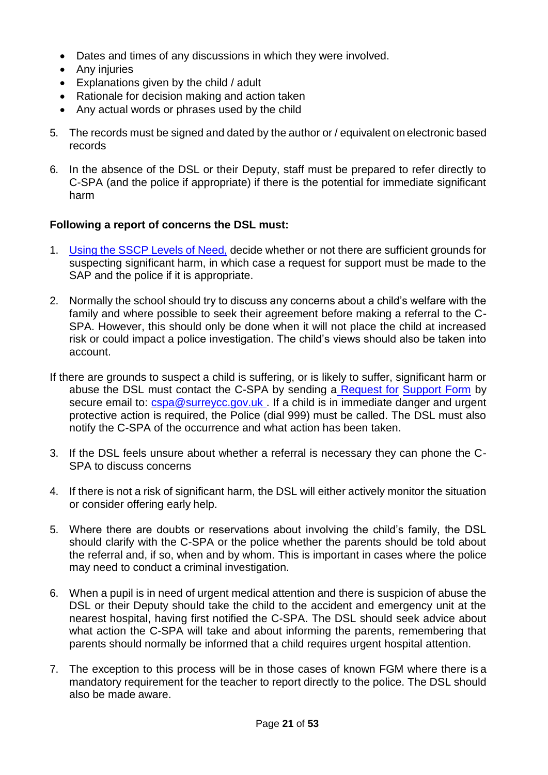- Dates and times of any discussions in which they were involved.
- Any injuries
- Explanations given by the child / adult
- Rationale for decision making and action taken
- Any actual words or phrases used by the child
- 5. The records must be signed and dated by the author or / equivalent on electronic based records
- 6. In the absence of the DSL or their Deputy, staff must be prepared to refer directly to C-SPA (and the police if appropriate) if there is the potential for immediate significant harm

#### **Following a report of concerns the DSL must:**

- 1. [Using the SSCP Levels of Need,](https://www.surreyscb.org.uk/wp-content/uploads/2018/12/Effective-family-resilience-SSCB-Final-March-2019-1.pdf) decide whether or not there are sufficient grounds for suspecting significant harm, in which case a request for support must be made to the SAP and the police if it is appropriate.
- 2. Normally the school should try to discuss any concerns about a child's welfare with the family and where possible to seek their agreement before making a referral to the C-SPA. However, this should only be done when it will not place the child at increased risk or could impact a police investigation. The child's views should also be taken into account.
- If there are grounds to suspect a child is suffering, or is likely to suffer, significant harm or abuse the DSL must contact the C-SPA by sending a Request for Support Form by secure email to: [cspa@surreycc.gov.uk](mailto:cspa@surreycc.gov.uk) . If a child is in immediate danger and urgent protective action is required, the Police (dial 999) must be called. The DSL must also notify the C-SPA of the occurrence and what action has been taken.
- 3. If the DSL feels unsure about whether a referral is necessary they can phone the C-SPA to discuss concerns
- 4. If there is not a risk of significant harm, the DSL will either actively monitor the situation or consider offering early help.
- 5. Where there are doubts or reservations about involving the child's family, the DSL should clarify with the C-SPA or the police whether the parents should be told about the referral and, if so, when and by whom. This is important in cases where the police may need to conduct a criminal investigation.
- 6. When a pupil is in need of urgent medical attention and there is suspicion of abuse the DSL or their Deputy should take the child to the accident and emergency unit at the nearest hospital, having first notified the C-SPA. The DSL should seek advice about what action the C-SPA will take and about informing the parents, remembering that parents should normally be informed that a child requires urgent hospital attention.
- 7. The exception to this process will be in those cases of known FGM where there is a mandatory requirement for the teacher to report directly to the police. The DSL should also be made aware.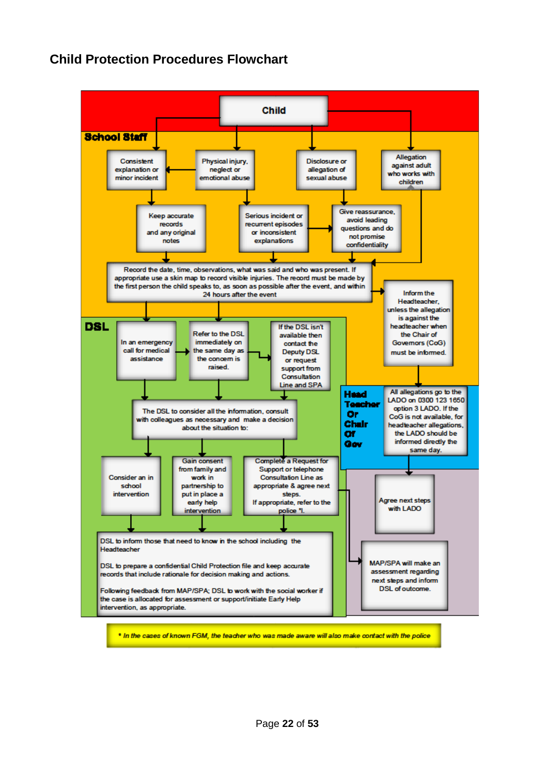### **Child Protection Procedures Flowchart**

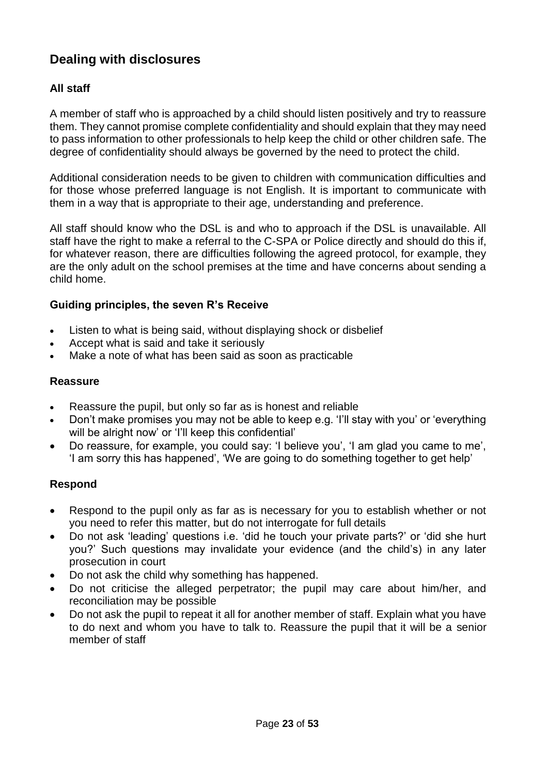### **Dealing with disclosures**

#### **All staff**

A member of staff who is approached by a child should listen positively and try to reassure them. They cannot promise complete confidentiality and should explain that they may need to pass information to other professionals to help keep the child or other children safe. The degree of confidentiality should always be governed by the need to protect the child.

Additional consideration needs to be given to children with communication difficulties and for those whose preferred language is not English. It is important to communicate with them in a way that is appropriate to their age, understanding and preference.

All staff should know who the DSL is and who to approach if the DSL is unavailable. All staff have the right to make a referral to the C-SPA or Police directly and should do this if, for whatever reason, there are difficulties following the agreed protocol, for example, they are the only adult on the school premises at the time and have concerns about sending a child home.

#### **Guiding principles, the seven R's Receive**

- Listen to what is being said, without displaying shock or disbelief
- Accept what is said and take it seriously
- Make a note of what has been said as soon as practicable

#### **Reassure**

- Reassure the pupil, but only so far as is honest and reliable
- Don't make promises you may not be able to keep e.g. 'I'll stay with you' or 'everything will be alright now' or 'I'll keep this confidential'
- Do reassure, for example, you could say: 'I believe you', 'I am glad you came to me', 'I am sorry this has happened', 'We are going to do something together to get help'

#### **Respond**

- Respond to the pupil only as far as is necessary for you to establish whether or not you need to refer this matter, but do not interrogate for full details
- Do not ask 'leading' questions i.e. 'did he touch your private parts?' or 'did she hurt you?' Such questions may invalidate your evidence (and the child's) in any later prosecution in court
- Do not ask the child why something has happened.
- Do not criticise the alleged perpetrator; the pupil may care about him/her, and reconciliation may be possible
- Do not ask the pupil to repeat it all for another member of staff. Explain what you have to do next and whom you have to talk to. Reassure the pupil that it will be a senior member of staff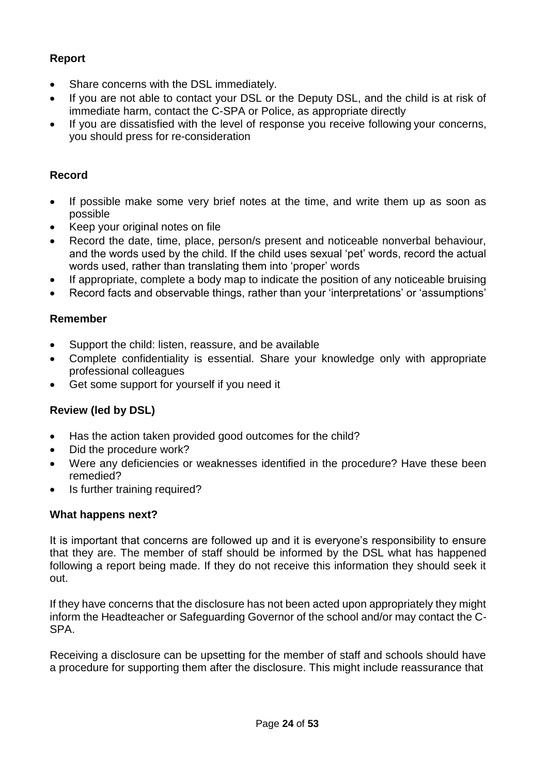#### **Report**

- Share concerns with the DSL immediately.
- If you are not able to contact your DSL or the Deputy DSL, and the child is at risk of immediate harm, contact the C-SPA or Police, as appropriate directly
- If you are dissatisfied with the level of response you receive following your concerns, you should press for re-consideration

#### **Record**

- If possible make some very brief notes at the time, and write them up as soon as possible
- Keep your original notes on file
- Record the date, time, place, person/s present and noticeable nonverbal behaviour, and the words used by the child. If the child uses sexual 'pet' words, record the actual words used, rather than translating them into 'proper' words
- If appropriate, complete a body map to indicate the position of any noticeable bruising
- Record facts and observable things, rather than your 'interpretations' or 'assumptions'

#### **Remember**

- Support the child: listen, reassure, and be available
- Complete confidentiality is essential. Share your knowledge only with appropriate professional colleagues
- Get some support for yourself if you need it

### **Review (led by DSL)**

- Has the action taken provided good outcomes for the child?
- Did the procedure work?
- Were any deficiencies or weaknesses identified in the procedure? Have these been remedied?
- Is further training required?

#### **What happens next?**

It is important that concerns are followed up and it is everyone's responsibility to ensure that they are. The member of staff should be informed by the DSL what has happened following a report being made. If they do not receive this information they should seek it out.

If they have concerns that the disclosure has not been acted upon appropriately they might inform the Headteacher or Safeguarding Governor of the school and/or may contact the C-SPA.

Receiving a disclosure can be upsetting for the member of staff and schools should have a procedure for supporting them after the disclosure. This might include reassurance that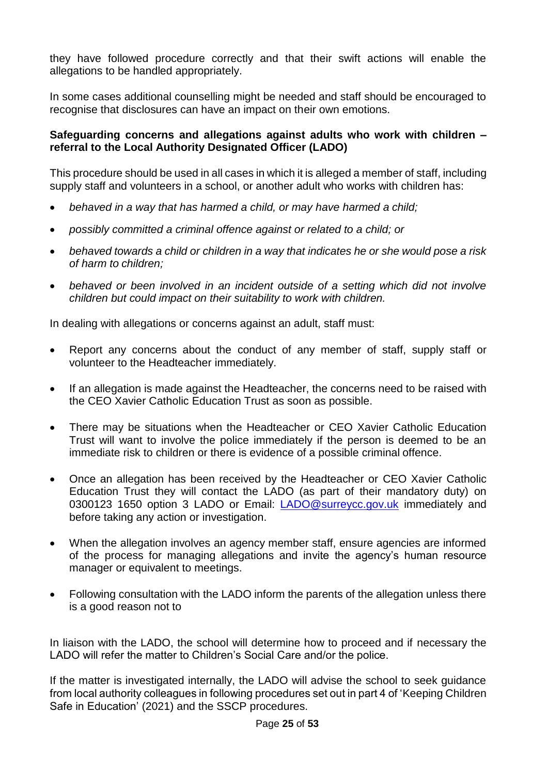they have followed procedure correctly and that their swift actions will enable the allegations to be handled appropriately.

In some cases additional counselling might be needed and staff should be encouraged to recognise that disclosures can have an impact on their own emotions.

#### **Safeguarding concerns and allegations against adults who work with children – referral to the Local Authority Designated Officer (LADO)**

This procedure should be used in all cases in which it is alleged a member of staff, including supply staff and volunteers in a school, or another adult who works with children has:

- *behaved in a way that has harmed a child, or may have harmed a child;*
- *possibly committed a criminal offence against or related to a child; or*
- *behaved towards a child or children in a way that indicates he or she would pose a risk of harm to children;*
- *behaved or been involved in an incident outside of a setting which did not involve children but could impact on their suitability to work with children.*

In dealing with allegations or concerns against an adult, staff must:

- Report any concerns about the conduct of any member of staff, supply staff or volunteer to the Headteacher immediately.
- If an allegation is made against the Headteacher, the concerns need to be raised with the CEO Xavier Catholic Education Trust as soon as possible.
- There may be situations when the Headteacher or CEO Xavier Catholic Education Trust will want to involve the police immediately if the person is deemed to be an immediate risk to children or there is evidence of a possible criminal offence.
- Once an allegation has been received by the Headteacher or CEO Xavier Catholic Education Trust they will contact the LADO (as part of their mandatory duty) on 0300123 1650 option 3 LADO or Email: **[LADO@surreycc.gov.uk](mailto:LADO@surreycc.gov.uk)** immediately and before taking any action or investigation.
- When the allegation involves an agency member staff, ensure agencies are informed of the process for managing allegations and invite the agency's human resource manager or equivalent to meetings.
- Following consultation with the LADO inform the parents of the allegation unless there is a good reason not to

In liaison with the LADO, the school will determine how to proceed and if necessary the LADO will refer the matter to Children's Social Care and/or the police.

If the matter is investigated internally, the LADO will advise the school to seek guidance from local authority colleagues in following procedures set out in part 4 of 'Keeping Children Safe in Education' (2021) and the SSCP procedures.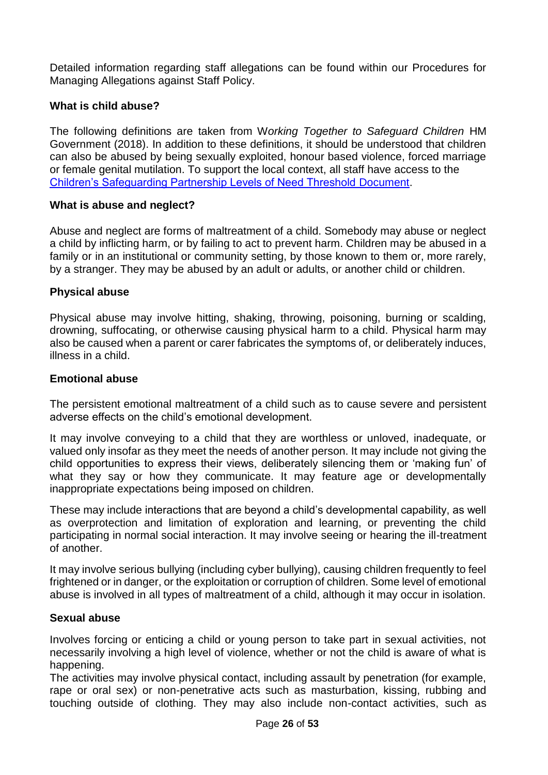Detailed information regarding staff allegations can be found within our Procedures for Managing Allegations against Staff Policy.

#### **What is child abuse?**

The following definitions are taken from W*orking Together to Safeguard Children* HM Government (2018). In addition to these definitions, it should be understood that children can also be abused by being sexually exploited, honour based violence, forced marriage or female genital mutilation. To support the local context, all staff have access to the [Children's Safeguarding Partnership Levels of Need Threshold](https://www.surreyscb.org.uk/wp-content/uploads/2018/12/Effective-family-resilience-SSCB-Final-March-2019-1.pdf) Document.

#### **What is abuse and neglect?**

Abuse and neglect are forms of maltreatment of a child. Somebody may abuse or neglect a child by inflicting harm, or by failing to act to prevent harm. Children may be abused in a family or in an institutional or community setting, by those known to them or, more rarely, by a stranger. They may be abused by an adult or adults, or another child or children.

#### **Physical abuse**

Physical abuse may involve hitting, shaking, throwing, poisoning, burning or scalding, drowning, suffocating, or otherwise causing physical harm to a child. Physical harm may also be caused when a parent or carer fabricates the symptoms of, or deliberately induces, illness in a child.

#### **Emotional abuse**

The persistent emotional maltreatment of a child such as to cause severe and persistent adverse effects on the child's emotional development.

It may involve conveying to a child that they are worthless or unloved, inadequate, or valued only insofar as they meet the needs of another person. It may include not giving the child opportunities to express their views, deliberately silencing them or 'making fun' of what they say or how they communicate. It may feature age or developmentally inappropriate expectations being imposed on children.

These may include interactions that are beyond a child's developmental capability, as well as overprotection and limitation of exploration and learning, or preventing the child participating in normal social interaction. It may involve seeing or hearing the ill-treatment of another.

It may involve serious bullying (including cyber bullying), causing children frequently to feel frightened or in danger, or the exploitation or corruption of children. Some level of emotional abuse is involved in all types of maltreatment of a child, although it may occur in isolation.

#### **Sexual abuse**

Involves forcing or enticing a child or young person to take part in sexual activities, not necessarily involving a high level of violence, whether or not the child is aware of what is happening.

The activities may involve physical contact, including assault by penetration (for example, rape or oral sex) or non-penetrative acts such as masturbation, kissing, rubbing and touching outside of clothing. They may also include non-contact activities, such as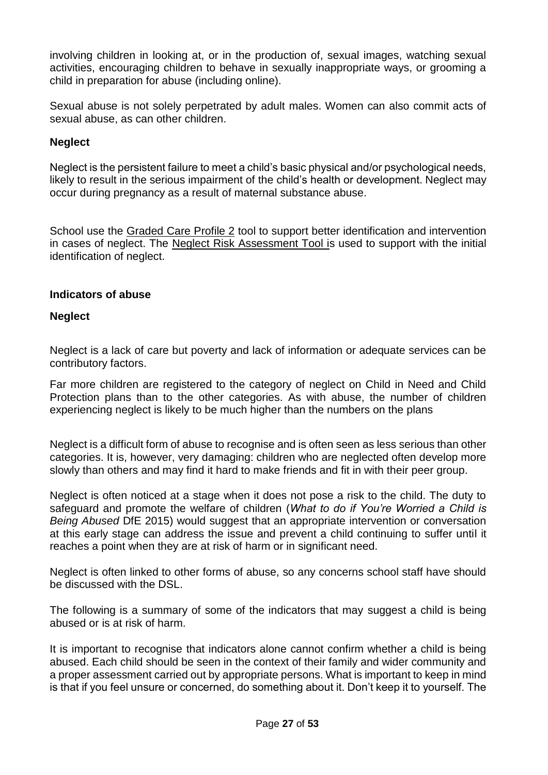involving children in looking at, or in the production of, sexual images, watching sexual activities, encouraging children to behave in sexually inappropriate ways, or grooming a child in preparation for abuse (including online).

Sexual abuse is not solely perpetrated by adult males. Women can also commit acts of sexual abuse, as can other children.

#### **Neglect**

Neglect is the persistent failure to meet a child's basic physical and/or psychological needs, likely to result in the serious impairment of the child's health or development. Neglect may occur during pregnancy as a result of maternal substance abuse.

School use the [Graded Care Profile 2](https://www.surreyscp.org.uk/professionals/resources-for-professionals/abuse-neglect/) tool to support better identification and intervention in cases of neglect. The [Neglect Risk Assessment Tool is](https://www.surreyscb.org.uk/resources-category/sscbmultiagencyforms/) used to support with the initial identification of neglect.

#### **Indicators of abuse**

#### **Neglect**

Neglect is a lack of care but poverty and lack of information or adequate services can be contributory factors.

Far more children are registered to the category of neglect on Child in Need and Child Protection plans than to the other categories. As with abuse, the number of children experiencing neglect is likely to be much higher than the numbers on the plans

Neglect is a difficult form of abuse to recognise and is often seen as less serious than other categories. It is, however, very damaging: children who are neglected often develop more slowly than others and may find it hard to make friends and fit in with their peer group.

Neglect is often noticed at a stage when it does not pose a risk to the child. The duty to safeguard and promote the welfare of children (*What to do if You're Worried a Child is Being Abused* DfE 2015) would suggest that an appropriate intervention or conversation at this early stage can address the issue and prevent a child continuing to suffer until it reaches a point when they are at risk of harm or in significant need.

Neglect is often linked to other forms of abuse, so any concerns school staff have should be discussed with the DSL.

The following is a summary of some of the indicators that may suggest a child is being abused or is at risk of harm.

It is important to recognise that indicators alone cannot confirm whether a child is being abused. Each child should be seen in the context of their family and wider community and a proper assessment carried out by appropriate persons. What is important to keep in mind is that if you feel unsure or concerned, do something about it. Don't keep it to yourself. The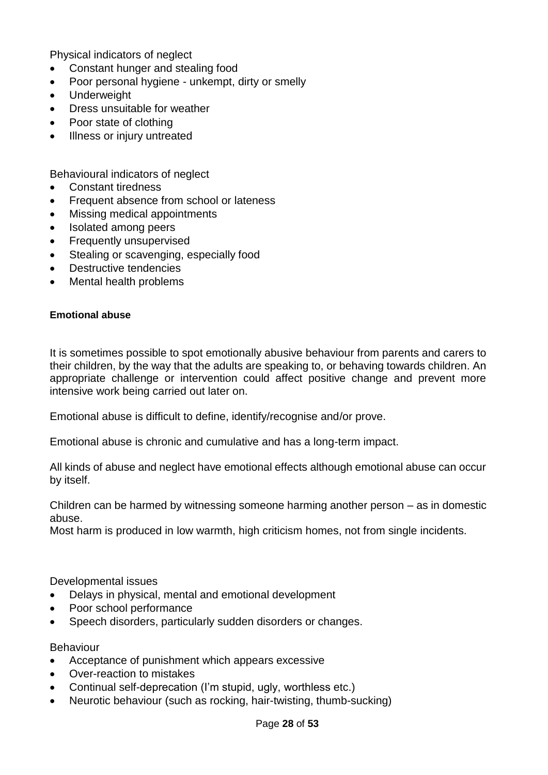Physical indicators of neglect

- Constant hunger and stealing food
- Poor personal hygiene unkempt, dirty or smelly
- Underweight
- Dress unsuitable for weather
- Poor state of clothing
- Illness or injury untreated

Behavioural indicators of neglect

- Constant tiredness
- Frequent absence from school or lateness
- Missing medical appointments
- Isolated among peers
- Frequently unsupervised
- Stealing or scavenging, especially food
- Destructive tendencies
- Mental health problems

#### **Emotional abuse**

It is sometimes possible to spot emotionally abusive behaviour from parents and carers to their children, by the way that the adults are speaking to, or behaving towards children. An appropriate challenge or intervention could affect positive change and prevent more intensive work being carried out later on.

Emotional abuse is difficult to define, identify/recognise and/or prove.

Emotional abuse is chronic and cumulative and has a long-term impact.

All kinds of abuse and neglect have emotional effects although emotional abuse can occur by itself.

Children can be harmed by witnessing someone harming another person – as in domestic abuse.

Most harm is produced in low warmth, high criticism homes, not from single incidents.

Developmental issues

- Delays in physical, mental and emotional development
- Poor school performance
- Speech disorders, particularly sudden disorders or changes.

#### Behaviour

- Acceptance of punishment which appears excessive
- Over-reaction to mistakes
- Continual self-deprecation (I'm stupid, ugly, worthless etc.)
- Neurotic behaviour (such as rocking, hair-twisting, thumb-sucking)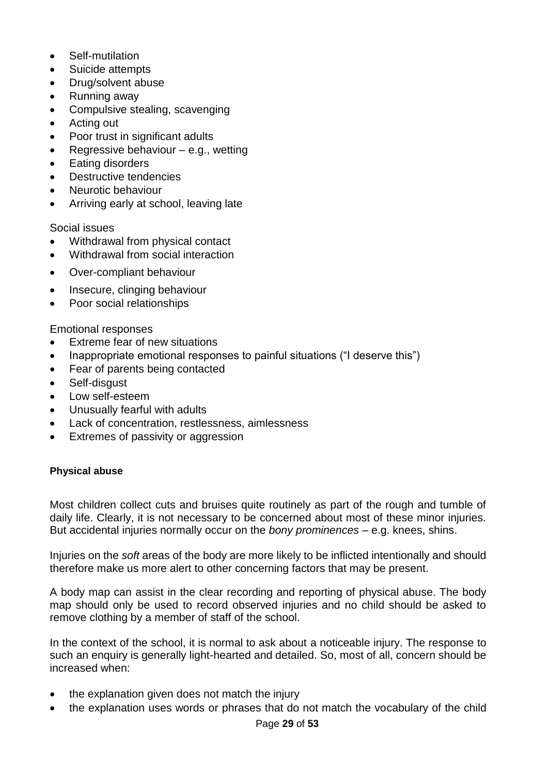- Self-mutilation
- Suicide attempts
- Drug/solvent abuse
- Running away
- Compulsive stealing, scavenging
- Acting out
- Poor trust in significant adults
- Regressive behaviour e.g., wetting
- Eating disorders
- Destructive tendencies
- Neurotic behaviour
- Arriving early at school, leaving late

Social issues

- Withdrawal from physical contact
- Withdrawal from social interaction
- Over-compliant behaviour
- Insecure, clinging behaviour
- Poor social relationships

Emotional responses

- Extreme fear of new situations
- Inappropriate emotional responses to painful situations ("I deserve this")
- Fear of parents being contacted
- Self-disaust
- Low self-esteem
- Unusually fearful with adults
- Lack of concentration, restlessness, aimlessness
- Extremes of passivity or aggression

#### **Physical abuse**

Most children collect cuts and bruises quite routinely as part of the rough and tumble of daily life. Clearly, it is not necessary to be concerned about most of these minor injuries. But accidental injuries normally occur on the *bony prominences* – e.g. knees, shins.

Injuries on the *soft* areas of the body are more likely to be inflicted intentionally and should therefore make us more alert to other concerning factors that may be present.

A body map can assist in the clear recording and reporting of physical abuse. The body map should only be used to record observed injuries and no child should be asked to remove clothing by a member of staff of the school.

In the context of the school, it is normal to ask about a noticeable injury. The response to such an enquiry is generally light-hearted and detailed. So, most of all, concern should be increased when:

- the explanation given does not match the injury
- the explanation uses words or phrases that do not match the vocabulary of the child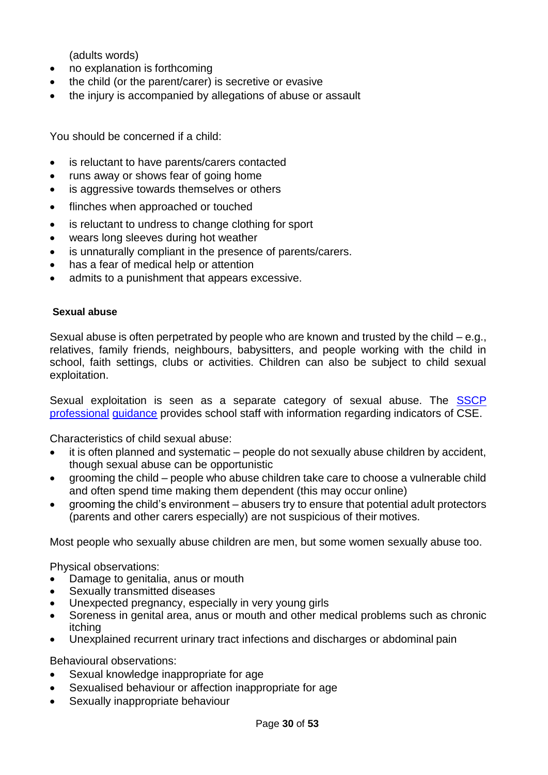(adults words)

- no explanation is forthcoming
- the child (or the parent/carer) is secretive or evasive
- the injury is accompanied by allegations of abuse or assault

You should be concerned if a child:

- is reluctant to have parents/carers contacted
- runs away or shows fear of going home
- is aggressive towards themselves or others
- flinches when approached or touched
- is reluctant to undress to change clothing for sport
- wears long sleeves during hot weather
- is unnaturally compliant in the presence of parents/carers.
- has a fear of medical help or attention
- admits to a punishment that appears excessive.

#### **Sexual abuse**

Sexual abuse is often perpetrated by people who are known and trusted by the child – e.g., relatives, family friends, neighbours, babysitters, and people working with the child in school, faith settings, clubs or activities. Children can also be subject to child sexual exploitation.

Sexual exploitation is seen as a separate category of sexual abuse. The SSCP [professional](https://www.surreyscb.org.uk/?s=cse%2Bprofessional%2Bguidance) [guidance](https://www.surreyscb.org.uk/?s=cse%2Bprofessional%2Bguidance) provides school staff with information regarding indicators of CSE.

Characteristics of child sexual abuse:

- it is often planned and systematic people do not sexually abuse children by accident, though sexual abuse can be opportunistic
- grooming the child people who abuse children take care to choose a vulnerable child and often spend time making them dependent (this may occur online)
- grooming the child's environment abusers try to ensure that potential adult protectors (parents and other carers especially) are not suspicious of their motives.

Most people who sexually abuse children are men, but some women sexually abuse too.

Physical observations:

- Damage to genitalia, anus or mouth
- Sexually transmitted diseases
- Unexpected pregnancy, especially in very young girls
- Soreness in genital area, anus or mouth and other medical problems such as chronic itching
- Unexplained recurrent urinary tract infections and discharges or abdominal pain

Behavioural observations:

- Sexual knowledge inappropriate for age
- Sexualised behaviour or affection inappropriate for age
- Sexually inappropriate behaviour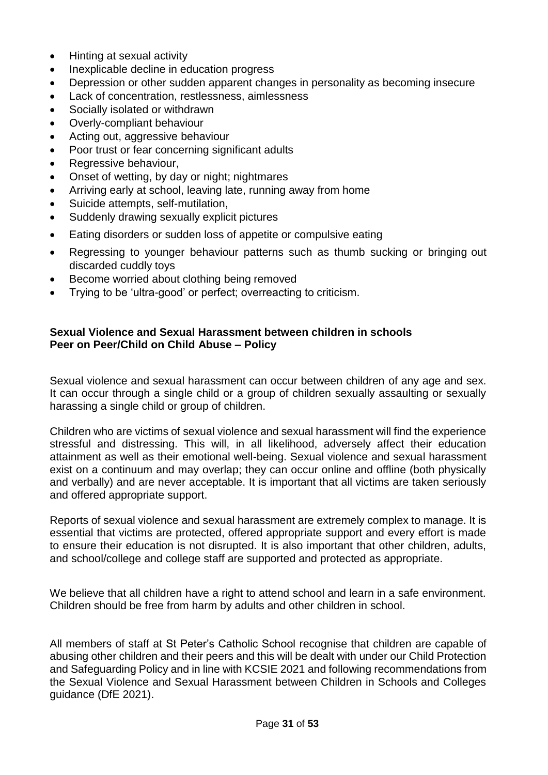- Hinting at sexual activity
- Inexplicable decline in education progress
- Depression or other sudden apparent changes in personality as becoming insecure
- Lack of concentration, restlessness, aimlessness
- Socially isolated or withdrawn
- Overly-compliant behaviour
- Acting out, aggressive behaviour
- Poor trust or fear concerning significant adults
- Regressive behaviour,
- Onset of wetting, by day or night; nightmares
- Arriving early at school, leaving late, running away from home
- Suicide attempts, self-mutilation,
- Suddenly drawing sexually explicit pictures
- Eating disorders or sudden loss of appetite or compulsive eating
- Regressing to younger behaviour patterns such as thumb sucking or bringing out discarded cuddly toys
- Become worried about clothing being removed
- Trying to be 'ultra-good' or perfect; overreacting to criticism.

#### **Sexual Violence and Sexual Harassment between children in schools Peer on Peer/Child on Child Abuse – Policy**

Sexual violence and sexual harassment can occur between children of any age and sex. It can occur through a single child or a group of children sexually assaulting or sexually harassing a single child or group of children.

Children who are victims of sexual violence and sexual harassment will find the experience stressful and distressing. This will, in all likelihood, adversely affect their education attainment as well as their emotional well-being. Sexual violence and sexual harassment exist on a continuum and may overlap; they can occur online and offline (both physically and verbally) and are never acceptable. It is important that all victims are taken seriously and offered appropriate support.

Reports of sexual violence and sexual harassment are extremely complex to manage. It is essential that victims are protected, offered appropriate support and every effort is made to ensure their education is not disrupted. It is also important that other children, adults, and school/college and college staff are supported and protected as appropriate.

We believe that all children have a right to attend school and learn in a safe environment. Children should be free from harm by adults and other children in school.

All members of staff at St Peter's Catholic School recognise that children are capable of abusing other children and their peers and this will be dealt with under our Child Protection and Safeguarding Policy and in line with KCSIE 2021 and following recommendations from the [Sexual Violence and Sexual Harassment between Children in Schools and Colleges](https://www.gov.uk/government/publications/sexual-violence-and-sexual-harassment-between-children-in-schools-and-collegesBe)  [guidance \(DfE 2021\).](https://www.gov.uk/government/publications/sexual-violence-and-sexual-harassment-between-children-in-schools-and-collegesBe)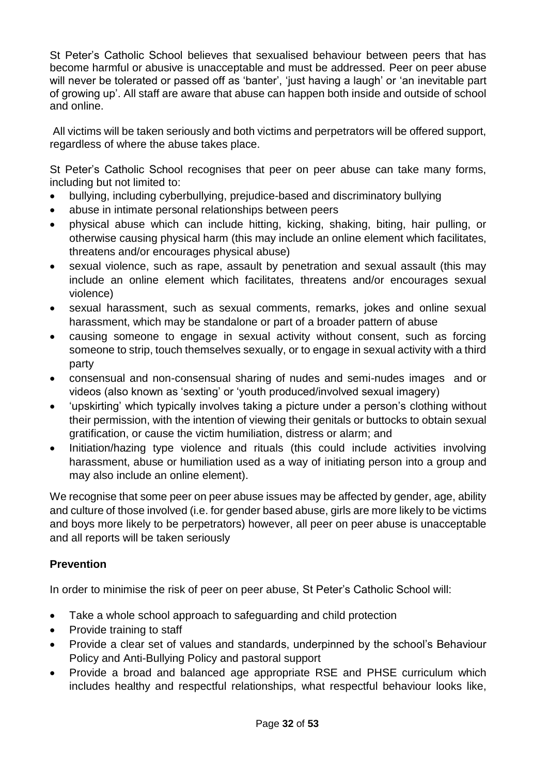St Peter's Catholic School believes that sexualised behaviour between peers that has become harmful or abusive is unacceptable and must be addressed. Peer on peer abuse will never be tolerated or passed off as 'banter', 'just having a laugh' or 'an inevitable part of growing up'. All staff are aware that abuse can happen both inside and outside of school and online.

All victims will be taken seriously and both victims and perpetrators will be offered support, regardless of where the abuse takes place.

St Peter's Catholic School recognises that peer on peer abuse can take many forms, including but not limited to:

- bullying, including cyberbullying, prejudice-based and discriminatory bullying
- abuse in intimate personal relationships between peers
- physical abuse which can include hitting, kicking, shaking, biting, hair pulling, or otherwise causing physical harm (this may include an online element which facilitates, threatens and/or encourages physical abuse)
- sexual violence, such as rape, assault by penetration and sexual assault (this may include an online element which facilitates, threatens and/or encourages sexual violence)
- sexual harassment, such as sexual comments, remarks, jokes and online sexual harassment, which may be standalone or part of a broader pattern of abuse
- causing someone to engage in sexual activity without consent, such as forcing someone to strip, touch themselves sexually, or to engage in sexual activity with a third party
- consensual and non-consensual sharing of nudes and semi-nudes images and or videos (also known as 'sexting' or 'youth produced/involved sexual imagery)
- 'upskirting' which typically involves taking a picture under a person's clothing without their permission, with the intention of viewing their genitals or buttocks to obtain sexual gratification, or cause the victim humiliation, distress or alarm; and
- Initiation/hazing type violence and rituals (this could include activities involving harassment, abuse or humiliation used as a way of initiating person into a group and may also include an online element).

We recognise that some peer on peer abuse issues may be affected by gender, age, ability and culture of those involved (i.e. for gender based abuse, girls are more likely to be victims and boys more likely to be perpetrators) however, all peer on peer abuse is unacceptable and all reports will be taken seriously

### **Prevention**

In order to minimise the risk of peer on peer abuse, St Peter's Catholic School will:

- Take a whole school approach to safeguarding and child protection
- Provide training to staff
- Provide a clear set of values and standards, underpinned by the school's Behaviour Policy and Anti-Bullying Policy and pastoral support
- Provide a broad and balanced age appropriate RSE and PHSE curriculum which includes healthy and respectful relationships, what respectful behaviour looks like,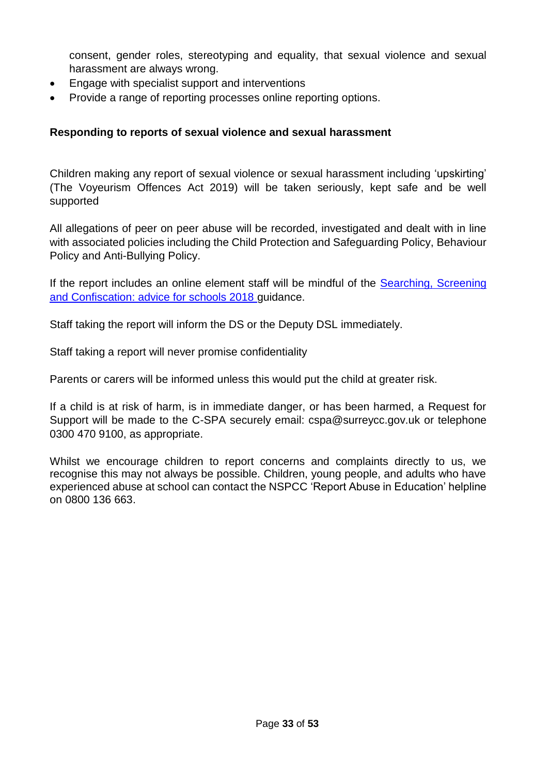consent, gender roles, stereotyping and equality, that sexual violence and sexual harassment are always wrong.

- Engage with specialist support and interventions
- Provide a range of reporting processes online reporting options.

#### **Responding to reports of sexual violence and sexual harassment**

Children making any report of sexual violence or sexual harassment including 'upskirting' (The Voyeurism Offences Act 2019) will be taken seriously, kept safe and be well supported

All allegations of peer on peer abuse will be recorded, investigated and dealt with in line with associated policies including the Child Protection and Safeguarding Policy, Behaviour Policy and Anti-Bullying Policy.

If the report includes an online element staff will be mindful of the Searching, Screening [and Confiscation: advice for schools 2018](https://assets.publishing.service.gov.uk/government/uploads/system/uploads/attachment_data/file/674416/Searching_screening_and_confiscation.pdf) guidance.

Staff taking the report will inform the DS or the Deputy DSL immediately.

Staff taking a report will never promise confidentiality

Parents or carers will be informed unless this would put the child at greater risk.

If a child is at risk of harm, is in immediate danger, or has been harmed, a Request for Support will be made to the C-SPA securely email: [cspa@surreycc.gov.uk](mailto:cspa@surreycc.gov.uk) or telephone 0300 470 9100, as appropriate.

Whilst we encourage children to report concerns and complaints directly to us, we recognise this may not always be possible. Children, young people, and adults who have experienced abuse at school can contact the NSPCC 'Report Abuse in Education' helpline on [0800 136 663.](tel:0800%20136%20663)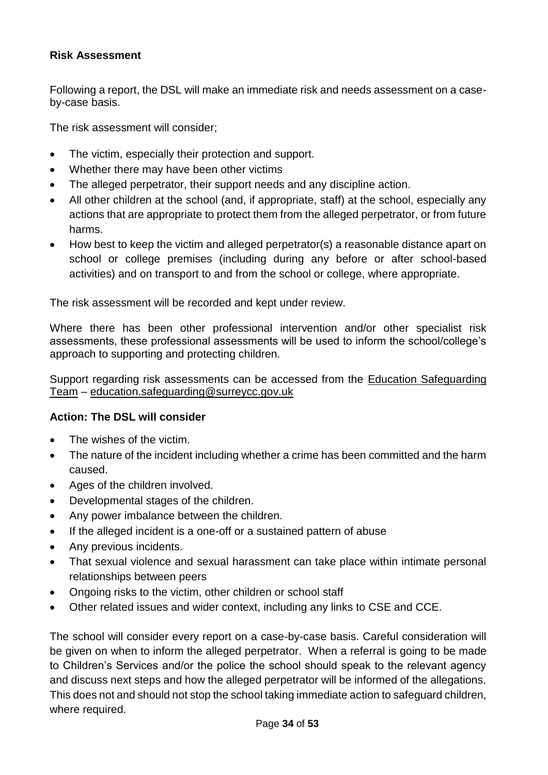#### **Risk Assessment**

Following a report, the DSL will make an immediate risk and needs assessment on a caseby-case basis.

The risk assessment will consider;

- The victim, especially their protection and support.
- Whether there may have been other victims
- The alleged perpetrator, their support needs and any discipline action.
- All other children at the school (and, if appropriate, staff) at the school, especially any actions that are appropriate to protect them from the alleged perpetrator, or from future harms.
- How best to keep the victim and alleged perpetrator(s) a reasonable distance apart on school or college premises (including during any before or after school-based activities) and on transport to and from the school or college, where appropriate.

The risk assessment will be recorded and kept under review.

Where there has been other professional intervention and/or other specialist risk assessments, these professional assessments will be used to inform the school/college's approach to supporting and protecting children.

Support regarding risk assessments can be accessed from the [Education Safeguarding](https://www.surreycc.gov.uk/schools-and-learning/teachers-and-education-staff/educational-advice-and-support/safeguarding)  [Team](https://www.surreycc.gov.uk/schools-and-learning/teachers-and-education-staff/educational-advice-and-support/safeguarding) – [education.safeguarding@surreycc.gov.uk](mailto:education.safeguarding@surreycc.gov.uk)

#### **Action: The DSL will consider**

- The wishes of the victim.
- The nature of the incident including whether a crime has been committed and the harm caused.
- Ages of the children involved.
- Developmental stages of the children.
- Any power imbalance between the children.
- If the alleged incident is a one-off or a sustained pattern of abuse
- Any previous incidents.
- That sexual violence and sexual harassment can take place within intimate personal relationships between peers
- Ongoing risks to the victim, other children or school staff
- Other related issues and wider context, including any links to CSE and CCE.

The school will consider every report on a case-by-case basis. Careful consideration will be given on when to inform the alleged perpetrator. When a referral is going to be made to Children's Services and/or the police the school should speak to the relevant agency and discuss next steps and how the alleged perpetrator will be informed of the allegations. This does not and should not stop the school taking immediate action to safeguard children, where required.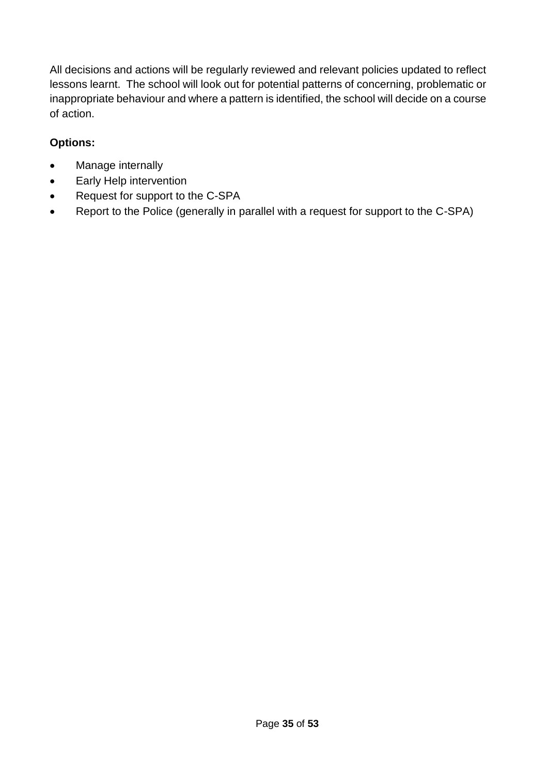All decisions and actions will be regularly reviewed and relevant policies updated to reflect lessons learnt. The school will look out for potential patterns of concerning, problematic or inappropriate behaviour and where a pattern is identified, the school will decide on a course of action.

### **Options:**

- Manage internally
- Early Help intervention
- Request for support to the C-SPA
- Report to the Police (generally in parallel with a request for support to the C-SPA)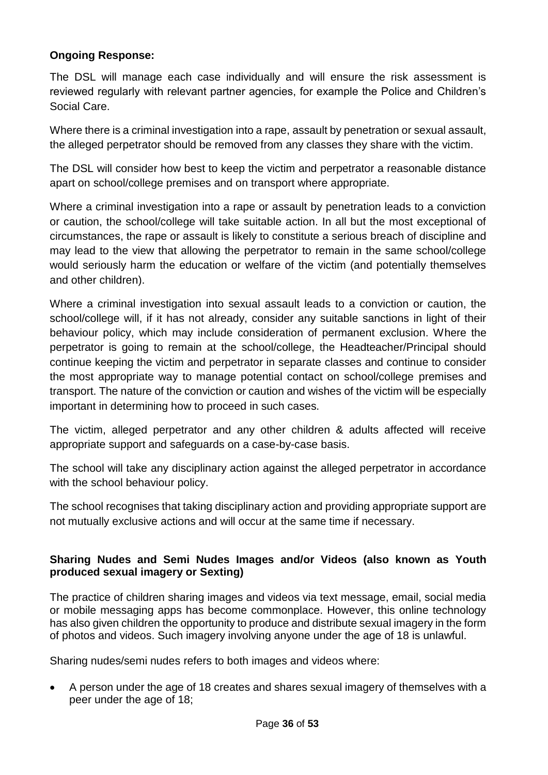#### **Ongoing Response:**

The DSL will manage each case individually and will ensure the risk assessment is reviewed regularly with relevant partner agencies, for example the Police and Children's Social Care.

Where there is a criminal investigation into a rape, assault by penetration or sexual assault, the alleged perpetrator should be removed from any classes they share with the victim.

The DSL will consider how best to keep the victim and perpetrator a reasonable distance apart on school/college premises and on transport where appropriate.

Where a criminal investigation into a rape or assault by penetration leads to a conviction or caution, the school/college will take suitable action. In all but the most exceptional of circumstances, the rape or assault is likely to constitute a serious breach of discipline and may lead to the view that allowing the perpetrator to remain in the same school/college would seriously harm the education or welfare of the victim (and potentially themselves and other children).

Where a criminal investigation into sexual assault leads to a conviction or caution, the school/college will, if it has not already, consider any suitable sanctions in light of their behaviour policy, which may include consideration of permanent exclusion. Where the perpetrator is going to remain at the school/college, the Headteacher/Principal should continue keeping the victim and perpetrator in separate classes and continue to consider the most appropriate way to manage potential contact on school/college premises and transport. The nature of the conviction or caution and wishes of the victim will be especially important in determining how to proceed in such cases.

The victim, alleged perpetrator and any other children & adults affected will receive appropriate support and safeguards on a case-by-case basis.

The school will take any disciplinary action against the alleged perpetrator in accordance with the school behaviour policy.

The school recognises that taking disciplinary action and providing appropriate support are not mutually exclusive actions and will occur at the same time if necessary.

#### **Sharing Nudes and Semi Nudes Images and/or Videos (also known as Youth produced sexual imagery or Sexting)**

The practice of children sharing images and videos via text message, email, social media or mobile messaging apps has become commonplace. However, this online technology has also given children the opportunity to produce and distribute sexual imagery in the form of photos and videos. Such imagery involving anyone under the age of 18 is unlawful.

Sharing nudes/semi nudes refers to both images and videos where:

 A person under the age of 18 creates and shares sexual imagery of themselves with a peer under the age of 18;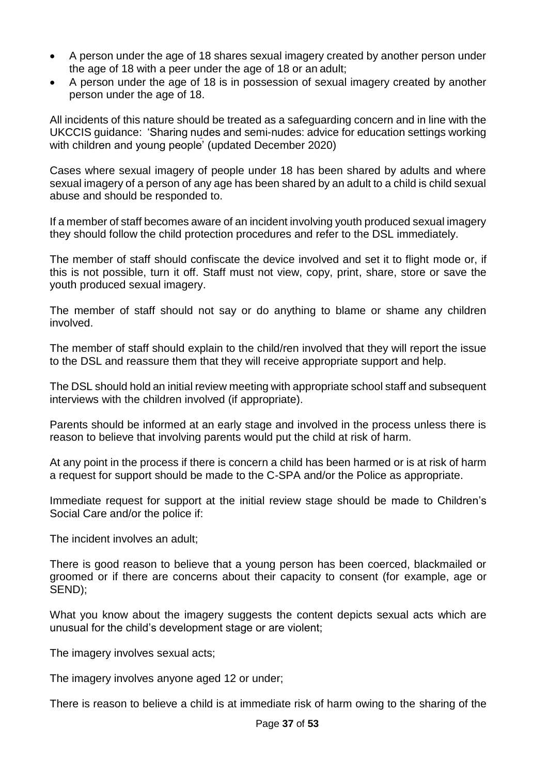- A person under the age of 18 shares sexual imagery created by another person under the age of 18 with a peer under the age of 18 or an adult;
- A person under the age of 18 is in possession of sexual imagery created by another person under the age of 18.

All incidents of this nature should be treated as a safeguarding concern and in line with the UKCCIS guidance: ['Sharing nudes and semi-nudes: advice](https://assets.publishing.service.gov.uk/government/uploads/system/uploads/attachment_data/file/759007/6_2939_SP_NCA_Sexting_In_Schools_FINAL_Update_Jan17.pdf) for education settings working [with children and young people'](https://assets.publishing.service.gov.uk/government/uploads/system/uploads/attachment_data/file/759007/6_2939_SP_NCA_Sexting_In_Schools_FINAL_Update_Jan17.pdf) (updated December 2020)

Cases where sexual imagery of people under 18 has been shared by adults and where sexual imagery of a person of any age has been shared by an adult to a child is child sexual abuse and should be responded to.

If a member of staff becomes aware of an incident involving youth produced sexual imagery they should follow the child protection procedures and refer to the DSL immediately.

The member of staff should confiscate the device involved and set it to flight mode or, if this is not possible, turn it off. Staff must not view, copy, print, share, store or save the youth produced sexual imagery.

The member of staff should not say or do anything to blame or shame any children involved.

The member of staff should explain to the child/ren involved that they will report the issue to the DSL and reassure them that they will receive appropriate support and help.

The DSL should hold an initial review meeting with appropriate school staff and subsequent interviews with the children involved (if appropriate).

Parents should be informed at an early stage and involved in the process unless there is reason to believe that involving parents would put the child at risk of harm.

At any point in the process if there is concern a child has been harmed or is at risk of harm a request for support should be made to the C-SPA and/or the Police as appropriate.

Immediate request for support at the initial review stage should be made to Children's Social Care and/or the police if:

The incident involves an adult;

There is good reason to believe that a young person has been coerced, blackmailed or groomed or if there are concerns about their capacity to consent (for example, age or SEND);

What you know about the imagery suggests the content depicts sexual acts which are unusual for the child's development stage or are violent;

The imagery involves sexual acts;

The imagery involves anyone aged 12 or under;

There is reason to believe a child is at immediate risk of harm owing to the sharing of the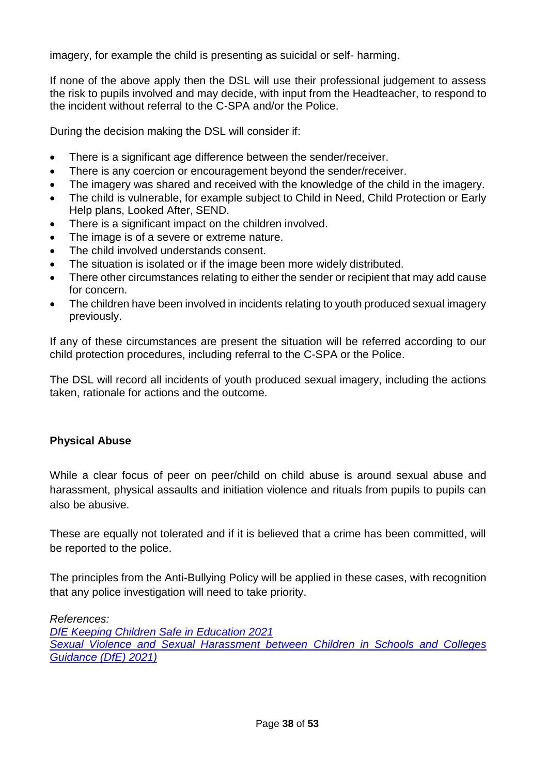imagery, for example the child is presenting as suicidal or self- harming.

If none of the above apply then the DSL will use their professional judgement to assess the risk to pupils involved and may decide, with input from the Headteacher, to respond to the incident without referral to the C-SPA and/or the Police.

During the decision making the DSL will consider if:

- There is a significant age difference between the sender/receiver.
- There is any coercion or encouragement beyond the sender/receiver.
- The imagery was shared and received with the knowledge of the child in the imagery.
- The child is vulnerable, for example subject to Child in Need, Child Protection or Early Help plans, Looked After, SEND.
- There is a significant impact on the children involved.
- The image is of a severe or extreme nature.
- The child involved understands consent.
- The situation is isolated or if the image been more widely distributed.
- There other circumstances relating to either the sender or recipient that may add cause for concern.
- The children have been involved in incidents relating to youth produced sexual imagery previously.

If any of these circumstances are present the situation will be referred according to our child protection procedures, including referral to the C-SPA or the Police.

The DSL will record all incidents of youth produced sexual imagery, including the actions taken, rationale for actions and the outcome.

### **Physical Abuse**

While a clear focus of peer on peer/child on child abuse is around sexual abuse and harassment, physical assaults and initiation violence and rituals from pupils to pupils can also be abusive.

These are equally not tolerated and if it is believed that a crime has been committed, will be reported to the police.

The principles from the Anti-Bullying Policy will be applied in these cases, with recognition that any police investigation will need to take priority.

*References:*

*DfE Keeping Children Safe in Education 2021 Sexual Violence and Sexual Harassment between Children in Schools and Colleges Guidance (DfE) 2021)*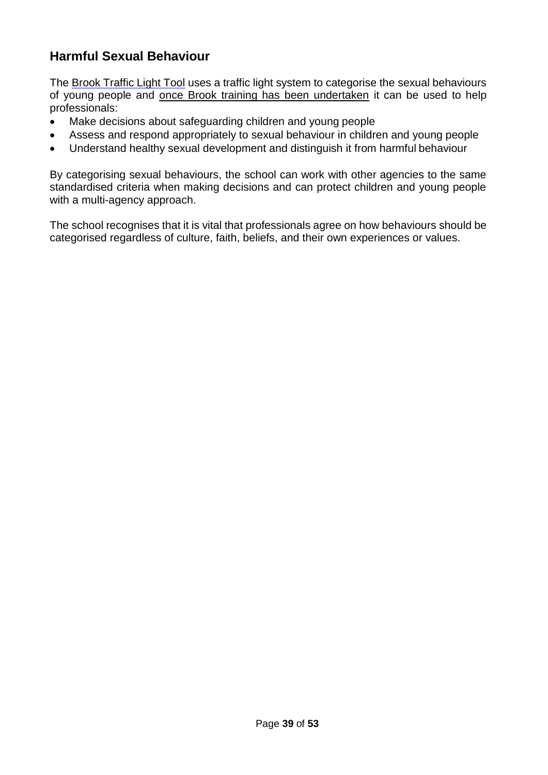### **Harmful Sexual Behaviour**

The [Brook Traffic Light Tool](https://www.brook.org.uk/our-work/the-sexual-behaviours-traffic-light-tool) uses a traffic light system to categorise the sexual behaviours of young people and [once Brook training has been undertaken](https://www.brook.org.uk/training/wider-professional-training/sexual-behaviours-traffic-light-tool/#tlttraining) it can be used to help professionals:

- Make decisions about safeguarding children and young people
- Assess and respond appropriately to sexual behaviour in children and young people
- Understand healthy sexual development and distinguish it from harmful behaviour

By categorising sexual behaviours, the school can work with other agencies to the same standardised criteria when making decisions and can protect children and young people with a multi-agency approach.

The school recognises that it is vital that professionals agree on how behaviours should be categorised regardless of culture, faith, beliefs, and their own experiences or values.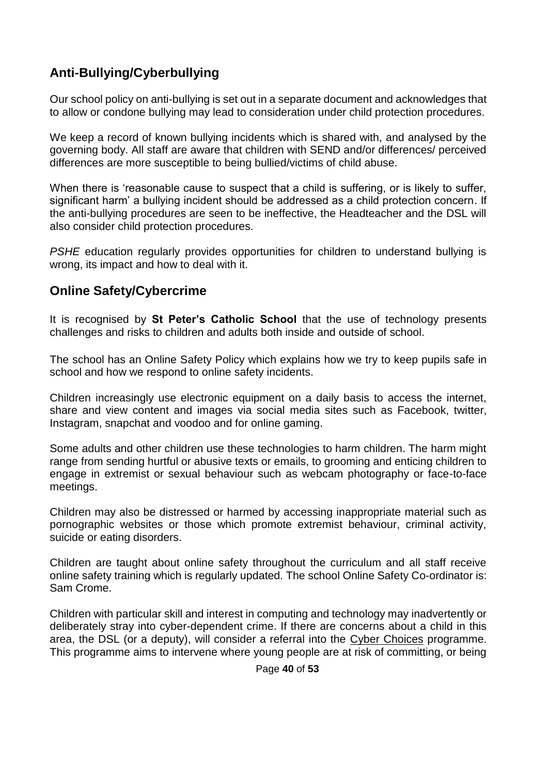### **Anti-Bullying/Cyberbullying**

Our school policy on anti-bullying is set out in a separate document and acknowledges that to allow or condone bullying may lead to consideration under child protection procedures.

We keep a record of known bullying incidents which is shared with, and analysed by the governing body. All staff are aware that children with SEND and/or differences/ perceived differences are more susceptible to being bullied/victims of child abuse.

When there is 'reasonable cause to suspect that a child is suffering, or is likely to suffer, significant harm' a bullying incident should be addressed as a child protection concern. If the anti-bullying procedures are seen to be ineffective, the Headteacher and the DSL will also consider child protection procedures.

*PSHE* education regularly provides opportunities for children to understand bullying is wrong, its impact and how to deal with it.

### **Online Safety/Cybercrime**

It is recognised by **St Peter's Catholic School** that the use of technology presents challenges and risks to children and adults both inside and outside of school.

The school has an Online Safety Policy which explains how we try to keep pupils safe in school and how we respond to online safety incidents.

Children increasingly use electronic equipment on a daily basis to access the internet, share and view content and images via social media sites such as Facebook, twitter, Instagram, snapchat and voodoo and for online gaming.

Some adults and other children use these technologies to harm children. The harm might range from sending hurtful or abusive texts or emails, to grooming and enticing children to engage in extremist or sexual behaviour such as webcam photography or face-to-face meetings.

Children may also be distressed or harmed by accessing inappropriate material such as pornographic websites or those which promote extremist behaviour, criminal activity, suicide or eating disorders.

Children are taught about online safety throughout the curriculum and all staff receive online safety training which is regularly updated. The school Online Safety Co-ordinator is: Sam Crome.

Children with particular skill and interest in computing and technology may inadvertently or deliberately stray into cyber-dependent crime. If there are concerns about a child in this area, the DSL (or a deputy), will consider a referral into the [Cyber Choices](http://www.cyberchoices.uk/) programme. This programme aims to intervene where young people are at risk of committing, or being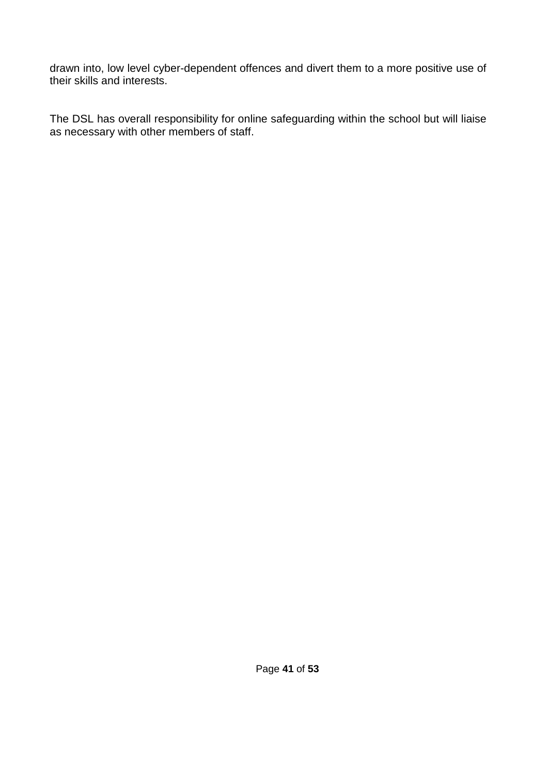drawn into, low level cyber-dependent offences and divert them to a more positive use of their skills and interests.

The DSL has overall responsibility for online safeguarding within the school but will liaise as necessary with other members of staff.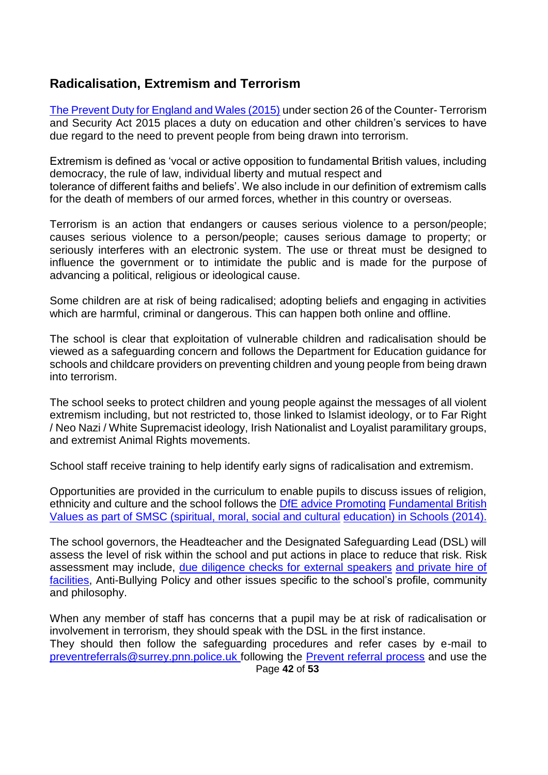### **Radicalisation, Extremism and Terrorism**

[The Prevent Duty for England and Wales \(2015\)](https://www.gov.uk/government/publications/protecting-children-from-radicalisation-the-prevent-duty) under section 26 of the Counter- Terrorism and Security Act 2015 places a duty on education and other children's services to have due regard to the need to prevent people from being drawn into terrorism.

Extremism is defined as 'vocal or active opposition to fundamental British values, including democracy, the rule of law, individual liberty and mutual respect and tolerance of different faiths and beliefs'. We also include in our definition of extremism calls for the death of members of our armed forces, whether in this country or overseas.

Terrorism is an action that endangers or causes serious violence to a person/people; causes serious violence to a person/people; causes serious damage to property; or seriously interferes with an electronic system. The use or threat must be designed to influence the government or to intimidate the public and is made for the purpose of advancing a political, religious or ideological cause.

Some children are at risk of being radicalised; adopting beliefs and engaging in activities which are harmful, criminal or dangerous. This can happen both online and offline.

The school is clear that exploitation of vulnerable children and radicalisation should be viewed as a safeguarding concern and follows the Department for Education guidance for schools and childcare providers on preventing children and young people from being drawn into terrorism.

The school seeks to protect children and young people against the messages of all violent extremism including, but not restricted to, those linked to Islamist ideology, or to Far Right / Neo Nazi / White Supremacist ideology, Irish Nationalist and Loyalist paramilitary groups, and extremist Animal Rights movements.

School staff receive training to help identify early signs of radicalisation and extremism.

Opportunities are provided in the curriculum to enable pupils to discuss issues of religion, ethnicity and culture and the school follows the [DfE advice Promoting](https://www.gov.uk/government/news/guidance-on-promoting-british-values-in-schools-published) [Fundamental British](https://www.gov.uk/government/news/guidance-on-promoting-british-values-in-schools-published)  [Values as part of SMSC \(spiritual, moral, social and cultural](https://www.gov.uk/government/news/guidance-on-promoting-british-values-in-schools-published) [education\) in Schools \(2014\).](https://www.gov.uk/government/news/guidance-on-promoting-british-values-in-schools-published)

The school governors, the Headteacher and the Designated Safeguarding Lead (DSL) will assess the level of risk within the school and put actions in place to reduce that risk. Risk assessment may include, [due diligence checks for external speakers](https://www.surreycc.gov.uk/__data/assets/word_doc/0008/154655/Due-diligence-checks-for-External-Speakers-and-Private-Hire-of-Facilities-January-2018.docx) [and private hire of](https://www.surreycc.gov.uk/__data/assets/word_doc/0008/154655/Due-diligence-checks-for-External-Speakers-and-Private-Hire-of-Facilities-January-2018.docx)  [facilities,](https://www.surreycc.gov.uk/__data/assets/word_doc/0008/154655/Due-diligence-checks-for-External-Speakers-and-Private-Hire-of-Facilities-January-2018.docx) Anti-Bullying Policy and other issues specific to the school's profile, community and philosophy.

When any member of staff has concerns that a pupil may be at risk of radicalisation or involvement in terrorism, they should speak with the DSL in the first instance. They should then follow the safeguarding procedures and refer cases by e-mail to [preventreferrals@surrey.pnn.police.uk f](mailto:preventreferrals@surrey.pnn.police.uk)ollowing the [Prevent referral process](https://www.surreyscb.org.uk/2018/12/16/prevent-referral-process-september-2018/) and use the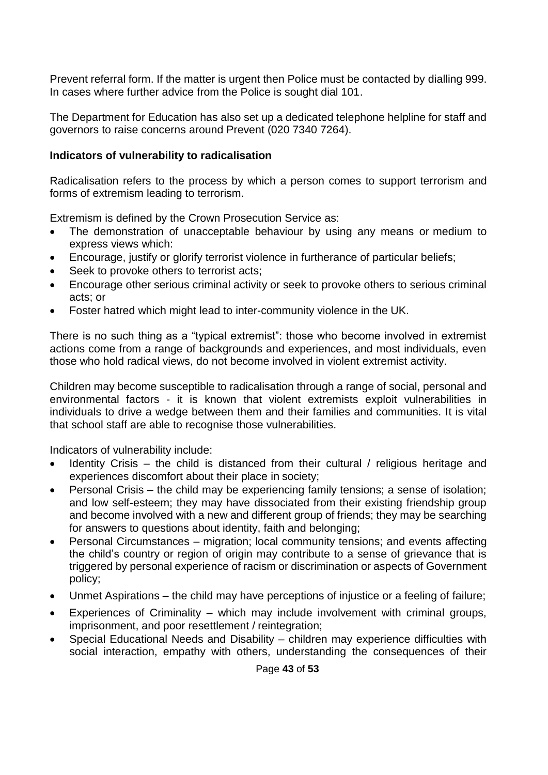Prevent referral form. If the matter is urgent then Police must be contacted by dialling 999. In cases where further advice from the Police is sought dial 101.

The Department for Education has also set up a dedicated telephone helpline for staff and governors to raise concerns around Prevent (020 7340 7264).

#### **Indicators of vulnerability to radicalisation**

Radicalisation refers to the process by which a person comes to support terrorism and forms of extremism leading to terrorism.

Extremism is defined by the Crown Prosecution Service as:

- The demonstration of unacceptable behaviour by using any means or medium to express views which:
- Encourage, justify or glorify terrorist violence in furtherance of particular beliefs;
- Seek to provoke others to terrorist acts;
- Encourage other serious criminal activity or seek to provoke others to serious criminal acts; or
- Foster hatred which might lead to inter-community violence in the UK.

There is no such thing as a "typical extremist": those who become involved in extremist actions come from a range of backgrounds and experiences, and most individuals, even those who hold radical views, do not become involved in violent extremist activity.

Children may become susceptible to radicalisation through a range of social, personal and environmental factors - it is known that violent extremists exploit vulnerabilities in individuals to drive a wedge between them and their families and communities. It is vital that school staff are able to recognise those vulnerabilities.

Indicators of vulnerability include:

- Identity Crisis the child is distanced from their cultural / religious heritage and experiences discomfort about their place in society;
- Personal Crisis the child may be experiencing family tensions; a sense of isolation; and low self-esteem; they may have dissociated from their existing friendship group and become involved with a new and different group of friends; they may be searching for answers to questions about identity, faith and belonging;
- Personal Circumstances migration; local community tensions; and events affecting the child's country or region of origin may contribute to a sense of grievance that is triggered by personal experience of racism or discrimination or aspects of Government policy;
- Unmet Aspirations the child may have perceptions of injustice or a feeling of failure;
- Experiences of Criminality which may include involvement with criminal groups, imprisonment, and poor resettlement / reintegration;
- Special Educational Needs and Disability children may experience difficulties with social interaction, empathy with others, understanding the consequences of their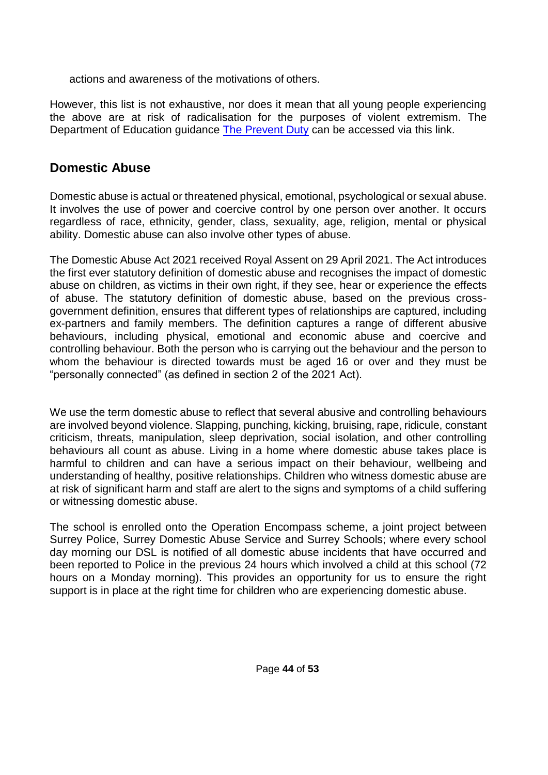actions and awareness of the motivations of others.

However, this list is not exhaustive, nor does it mean that all young people experiencing the above are at risk of radicalisation for the purposes of violent extremism. The Department of Education guidance [The Prevent Duty](https://assets.publishing.service.gov.uk/government/uploads/system/uploads/attachment_data/file/439598/prevent-duty-departmental-advice-v6.pdf) can be accessed via this link.

### **Domestic Abuse**

Domestic abuse is actual or threatened physical, emotional, psychological or sexual abuse. It involves the use of power and coercive control by one person over another. It occurs regardless of race, ethnicity, gender, class, sexuality, age, religion, mental or physical ability. Domestic abuse can also involve other types of abuse.

The Domestic Abuse Act 2021 received Royal Assent on 29 April 2021. The Act introduces the first ever statutory definition of domestic abuse and recognises the impact of domestic abuse on children, as victims in their own right, if they see, hear or experience the effects of abuse. The statutory definition of domestic abuse, based on the previous crossgovernment definition, ensures that different types of relationships are captured, including ex-partners and family members. The definition captures a range of different abusive behaviours, including physical, emotional and economic abuse and coercive and controlling behaviour. Both the person who is carrying out the behaviour and the person to whom the behaviour is directed towards must be aged 16 or over and they must be "personally connected" (as defined in section 2 of the 2021 Act).

We use the term domestic abuse to reflect that several abusive and controlling behaviours are involved beyond violence. Slapping, punching, kicking, bruising, rape, ridicule, constant criticism, threats, manipulation, sleep deprivation, social isolation, and other controlling behaviours all count as abuse. Living in a home where domestic abuse takes place is harmful to children and can have a serious impact on their behaviour, wellbeing and understanding of healthy, positive relationships. Children who witness domestic abuse are at risk of significant harm and staff are alert to the signs and symptoms of a child suffering or witnessing domestic abuse.

The school is enrolled onto the Operation Encompass scheme, a joint project between Surrey Police, Surrey Domestic Abuse Service and Surrey Schools; where every school day morning our DSL is notified of all domestic abuse incidents that have occurred and been reported to Police in the previous 24 hours which involved a child at this school (72 hours on a Monday morning). This provides an opportunity for us to ensure the right support is in place at the right time for children who are experiencing domestic abuse.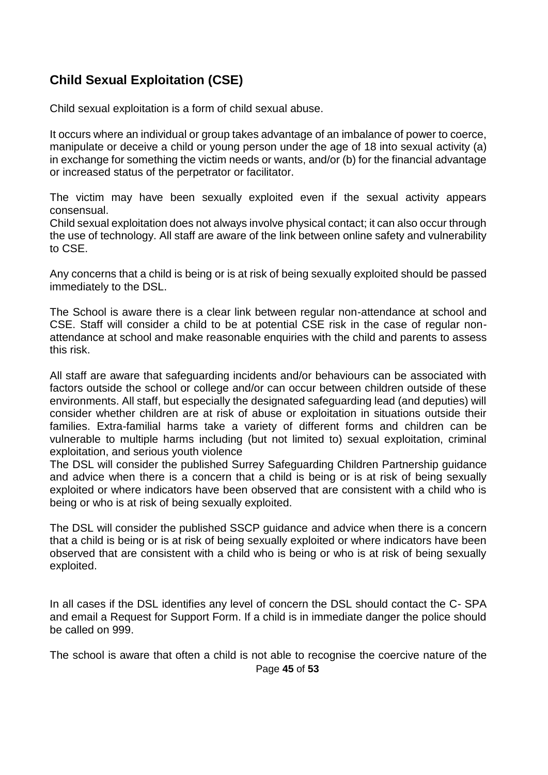### **Child Sexual Exploitation (CSE)**

Child sexual exploitation is a form of child sexual abuse.

It occurs where an individual or group takes advantage of an imbalance of power to coerce, manipulate or deceive a child or young person under the age of 18 into sexual activity (a) in exchange for something the victim needs or wants, and/or (b) for the financial advantage or increased status of the perpetrator or facilitator.

The victim may have been sexually exploited even if the sexual activity appears consensual.

Child sexual exploitation does not always involve physical contact; it can also occur through the use of technology. All staff are aware of the link between online safety and vulnerability to CSE.

Any concerns that a child is being or is at risk of being sexually exploited should be passed immediately to the DSL.

The School is aware there is a clear link between regular non-attendance at school and CSE. Staff will consider a child to be at potential CSE risk in the case of regular nonattendance at school and make reasonable enquiries with the child and parents to assess this risk.

All staff are aware that safeguarding incidents and/or behaviours can be associated with factors outside the school or college and/or can occur between children outside of these environments. All staff, but especially the designated safeguarding lead (and deputies) will consider whether children are at risk of abuse or exploitation in situations outside their families. Extra-familial harms take a variety of different forms and children can be vulnerable to multiple harms including (but not limited to) sexual exploitation, criminal exploitation, and serious youth violence

The DSL will consider the published Surrey Safeguarding Children Partnership guidance and advice when there is a concern that a child is being or is at risk of being sexually exploited or where indicators have been observed that are consistent with a child who is being or who is at risk of being sexually exploited.

The DSL will consider the published SSCP guidance and advice when there is a concern that a child is being or is at risk of being sexually exploited or where indicators have been observed that are consistent with a child who is being or who is at risk of being sexually exploited.

In all cases if the DSL identifies any level of concern the DSL should contact the C- SPA and email a Request for Support Form. If a child is in immediate danger the police should be called on 999.

Page **45** of **53** The school is aware that often a child is not able to recognise the coercive nature of the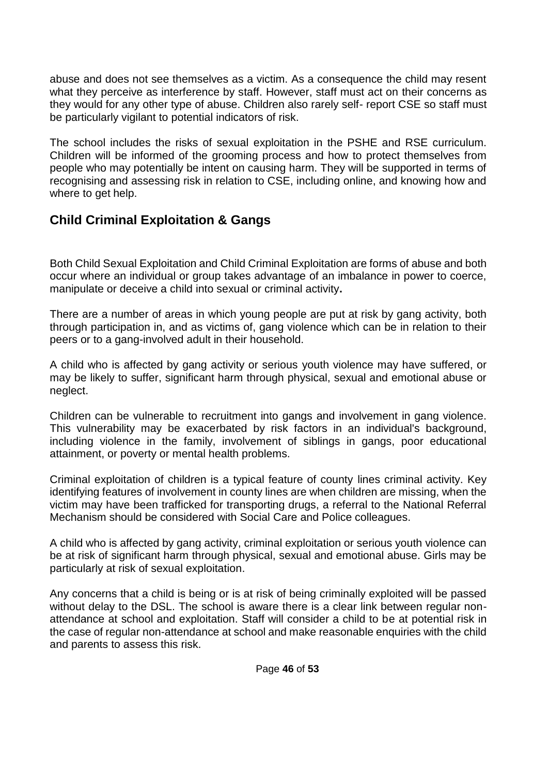abuse and does not see themselves as a victim. As a consequence the child may resent what they perceive as interference by staff. However, staff must act on their concerns as they would for any other type of abuse. Children also rarely self- report CSE so staff must be particularly vigilant to potential indicators of risk.

The school includes the risks of sexual exploitation in the PSHE and RSE curriculum. Children will be informed of the grooming process and how to protect themselves from people who may potentially be intent on causing harm. They will be supported in terms of recognising and assessing risk in relation to CSE, including online, and knowing how and where to get help.

### **Child Criminal Exploitation & Gangs**

Both Child Sexual Exploitation and Child Criminal Exploitation are forms of abuse and both occur where an individual or group takes advantage of an imbalance in power to coerce, manipulate or deceive a child into sexual or criminal activity**.**

There are a number of areas in which young people are put at risk by gang activity, both through participation in, and as victims of, gang violence which can be in relation to their peers or to a gang-involved adult in their household.

A child who is affected by gang activity or serious youth violence may have suffered, or may be likely to suffer, significant harm through physical, sexual and emotional abuse or neglect.

Children can be vulnerable to recruitment into gangs and involvement in gang violence. This vulnerability may be exacerbated by risk factors in an individual's background, including violence in the family, involvement of siblings in gangs, poor educational attainment, or poverty or mental health problems.

Criminal exploitation of children is a typical feature of county lines criminal activity. Key identifying features of involvement in county lines are when children are missing, when the victim may have been trafficked for transporting drugs, a referral to the National Referral Mechanism should be considered with Social Care and Police colleagues.

A child who is affected by gang activity, criminal exploitation or serious youth violence can be at risk of significant harm through physical, sexual and emotional abuse. Girls may be particularly at risk of sexual exploitation.

Any concerns that a child is being or is at risk of being criminally exploited will be passed without delay to the DSL. The school is aware there is a clear link between regular nonattendance at school and exploitation. Staff will consider a child to be at potential risk in the case of regular non-attendance at school and make reasonable enquiries with the child and parents to assess this risk.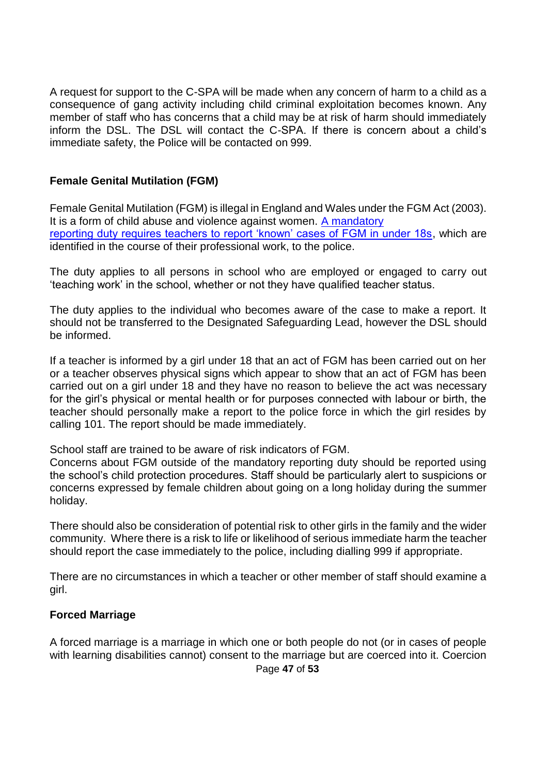A request for support to the C-SPA will be made when any concern of harm to a child as a consequence of gang activity including child criminal exploitation becomes known. Any member of staff who has concerns that a child may be at risk of harm should immediately inform the DSL. The DSL will contact the C-SPA. If there is concern about a child's immediate safety, the Police will be contacted on 999.

#### **Female Genital Mutilation (FGM)**

Female Genital Mutilation (FGM) is illegal in England and Wales under the FGM Act (2003). It is a form of child abuse and violence against women. [A mandatory](https://www.gov.uk/government/publications/mandatory-reporting-of-female-genital-mutilation-procedural-information) [reporting duty requires teachers to report 'known' cases of FGM in under 18s,](https://www.gov.uk/government/publications/mandatory-reporting-of-female-genital-mutilation-procedural-information) which are identified in the course of their professional work, to the police.

The duty applies to all persons in school who are employed or engaged to carry out 'teaching work' in the school, whether or not they have qualified teacher status.

The duty applies to the individual who becomes aware of the case to make a report. It should not be transferred to the Designated Safeguarding Lead, however the DSL should be informed.

If a teacher is informed by a girl under 18 that an act of FGM has been carried out on her or a teacher observes physical signs which appear to show that an act of FGM has been carried out on a girl under 18 and they have no reason to believe the act was necessary for the girl's physical or mental health or for purposes connected with labour or birth, the teacher should personally make a report to the police force in which the girl resides by calling 101. The report should be made immediately.

School staff are trained to be aware of risk indicators of FGM.

Concerns about FGM outside of the mandatory reporting duty should be reported using the school's child protection procedures. Staff should be particularly alert to suspicions or concerns expressed by female children about going on a long holiday during the summer holiday.

There should also be consideration of potential risk to other girls in the family and the wider community. Where there is a risk to life or likelihood of serious immediate harm the teacher should report the case immediately to the police, including dialling 999 if appropriate.

There are no circumstances in which a teacher or other member of staff should examine a girl.

#### **Forced Marriage**

A forced marriage is a marriage in which one or both people do not (or in cases of people with learning disabilities cannot) consent to the marriage but are coerced into it. Coercion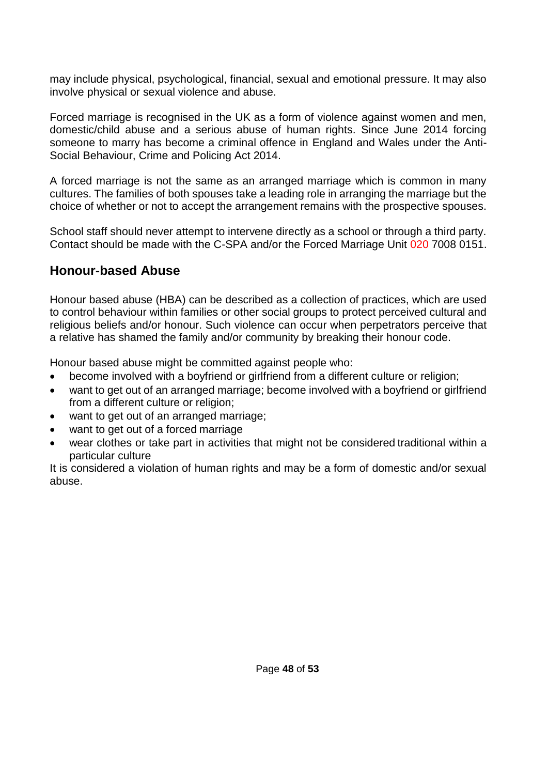may include physical, psychological, financial, sexual and emotional pressure. It may also involve physical or sexual violence and abuse.

Forced marriage is recognised in the UK as a form of violence against women and men, domestic/child abuse and a serious abuse of human rights. Since June 2014 forcing someone to marry has become a criminal offence in England and Wales under the Anti-Social Behaviour, Crime and Policing Act 2014.

A forced marriage is not the same as an arranged marriage which is common in many cultures. The families of both spouses take a leading role in arranging the marriage but the choice of whether or not to accept the arrangement remains with the prospective spouses.

School staff should never attempt to intervene directly as a school or through a third party. Contact should be made with the C-SPA and/or the Forced Marriage Unit 020 7008 0151.

### **Honour-based Abuse**

Honour based abuse (HBA) can be described as a collection of practices, which are used to control behaviour within families or other social groups to protect perceived cultural and religious beliefs and/or honour. Such violence can occur when perpetrators perceive that a relative has shamed the family and/or community by breaking their honour code.

Honour based abuse might be committed against people who:

- become involved with a boyfriend or girlfriend from a different culture or religion;
- want to get out of an arranged marriage; become involved with a boyfriend or girlfriend from a different culture or religion;
- want to get out of an arranged marriage;
- want to get out of a forced marriage
- wear clothes or take part in activities that might not be considered traditional within a particular culture

It is considered a violation of human rights and may be a form of domestic and/or sexual abuse.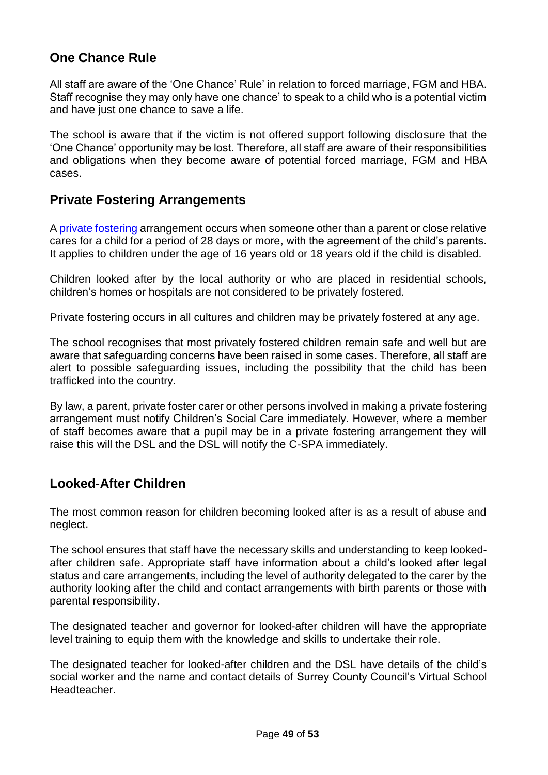### **One Chance Rule**

All staff are aware of the 'One Chance' Rule' in relation to forced marriage, FGM and HBA. Staff recognise they may only have one chance' to speak to a child who is a potential victim and have just one chance to save a life.

The school is aware that if the victim is not offered support following disclosure that the 'One Chance' opportunity may be lost. Therefore, all staff are aware of their responsibilities and obligations when they become aware of potential forced marriage, FGM and HBA cases.

### **Private Fostering Arrangements**

A [private fostering](https://www.surreycc.gov.uk/__data/assets/pdf_file/0008/157769/Private-Fostering-A-guide-for-DSLs.pdf) arrangement occurs when someone other than a parent or close relative cares for a child for a period of 28 days or more, with the agreement of the child's parents. It applies to children under the age of 16 years old or 18 years old if the child is disabled.

Children looked after by the local authority or who are placed in residential schools, children's homes or hospitals are not considered to be privately fostered.

Private fostering occurs in all cultures and children may be privately fostered at any age.

The school recognises that most privately fostered children remain safe and well but are aware that safeguarding concerns have been raised in some cases. Therefore, all staff are alert to possible safeguarding issues, including the possibility that the child has been trafficked into the country.

By law, a parent, private foster carer or other persons involved in making a private fostering arrangement must notify Children's Social Care immediately. However, where a member of staff becomes aware that a pupil may be in a private fostering arrangement they will raise this will the DSL and the DSL will notify the C-SPA immediately.

### **Looked-After Children**

The most common reason for children becoming looked after is as a result of abuse and neglect.

The school ensures that staff have the necessary skills and understanding to keep lookedafter children safe. Appropriate staff have information about a child's looked after legal status and care arrangements, including the level of authority delegated to the carer by the authority looking after the child and contact arrangements with birth parents or those with parental responsibility.

The designated teacher and governor for looked-after children will have the appropriate level training to equip them with the knowledge and skills to undertake their role.

The designated teacher for looked-after children and the DSL have details of the child's social worker and the name and contact details of Surrey County Council's Virtual School Headteacher.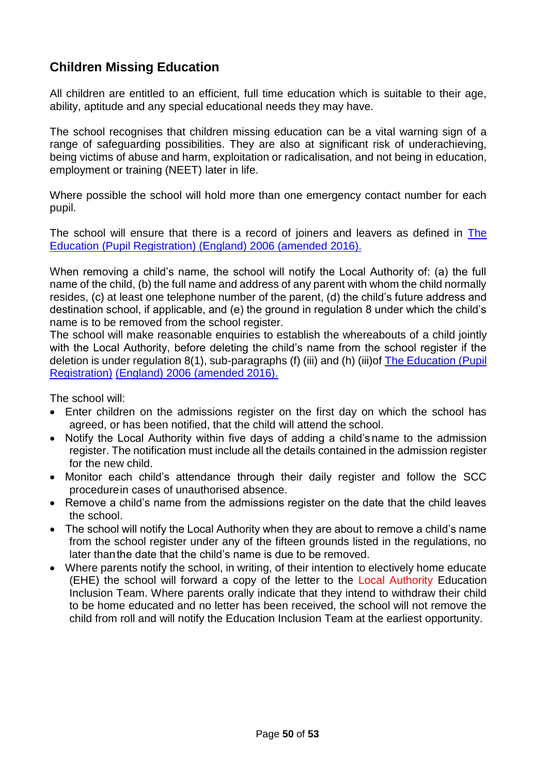### **Children Missing Education**

All children are entitled to an efficient, full time education which is suitable to their age, ability, aptitude and any special educational needs they may have.

The school recognises that children missing education can be a vital warning sign of a range of safeguarding possibilities. They are also at significant risk of underachieving, being victims of abuse and harm, exploitation or radicalisation, and not being in education, employment or training (NEET) later in life.

Where possible the school will hold more than one emergency contact number for each pupil.

The school will ensure that there is a record of joiners and leavers as defined in [The](https://www.kelsi.org.uk/news-and-events/news/primary/changes-to-the-education-pupil-registration-england-regulations-2006) [Education \(Pupil Registration\) \(England\) 2006](https://www.kelsi.org.uk/news-and-events/news/primary/changes-to-the-education-pupil-registration-england-regulations-2006) (amended 2016).

When removing a child's name, the school will notify the Local Authority of: (a) the full name of the child, (b) the full name and address of any parent with whom the child normally resides, (c) at least one telephone number of the parent, (d) the child's future address and destination school, if applicable, and (e) the ground in regulation 8 under which the child's name is to be removed from the school register.

The school will make reasonable enquiries to establish the whereabouts of a child jointly with the Local Authority, before deleting the child's name from the school register if the deletion is under regulation 8(1), sub-paragraphs (f) (iii) and (h) (iii)of [The Education \(Pupil](https://www.kelsi.org.uk/news-and-events/news/primary/changes-to-the-education-pupil-registration-england-regulations-2006)  [Registration\)](https://www.kelsi.org.uk/news-and-events/news/primary/changes-to-the-education-pupil-registration-england-regulations-2006) (England) 2006 [\(amended 2016\).](https://www.kelsi.org.uk/news-and-events/news/primary/changes-to-the-education-pupil-registration-england-regulations-2006)

The school will:

- Enter children on the admissions register on the first day on which the school has agreed, or has been notified, that the child will attend the school.
- Notify the Local Authority within five days of adding a child's name to the admission register. The notification must include all the details contained in the admission register for the new child.
- Monitor each child's attendance through their daily register and follow the SCC procedurein cases of unauthorised absence.
- Remove a child's name from the admissions register on the date that the child leaves the school.
- The school will notify the Local Authority when they are about to remove a child's name from the school register under any of the fifteen grounds listed in the regulations, no later thanthe date that the child's name is due to be removed.
- Where parents notify the school, in writing, of their intention to electively home educate (EHE) the school will forward a copy of the letter to the Local Authority Education Inclusion Team. Where parents orally indicate that they intend to withdraw their child to be home educated and no letter has been received, the school will not remove the child from roll and will notify the Education Inclusion Team at the earliest opportunity.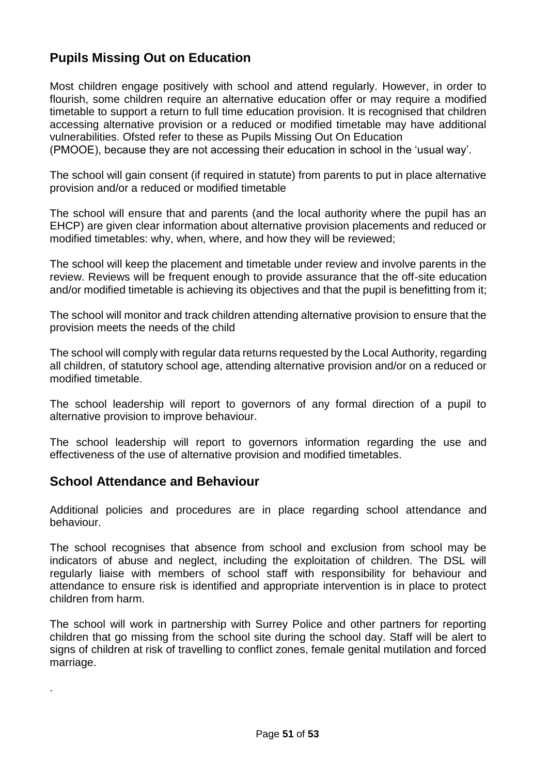### **Pupils Missing Out on Education**

Most children engage positively with school and attend regularly. However, in order to flourish, some children require an alternative education offer or may require a modified timetable to support a return to full time education provision. It is recognised that children accessing alternative provision or a reduced or modified timetable may have additional vulnerabilities. Ofsted refer to these as Pupils Missing Out On Education

(PMOOE), because they are not accessing their education in school in the 'usual way'.

The school will gain consent (if required in statute) from parents to put in place alternative provision and/or a reduced or modified timetable

The school will ensure that and parents (and the local authority where the pupil has an EHCP) are given clear information about alternative provision placements and reduced or modified timetables: why, when, where, and how they will be reviewed;

The school will keep the placement and timetable under review and involve parents in the review. Reviews will be frequent enough to provide assurance that the off-site education and/or modified timetable is achieving its objectives and that the pupil is benefitting from it;

The school will monitor and track children attending alternative provision to ensure that the provision meets the needs of the child

The school will comply with regular data returns requested by the Local Authority, regarding all children, of statutory school age, attending alternative provision and/or on a reduced or modified timetable.

The school leadership will report to governors of any formal direction of a pupil to alternative provision to improve behaviour.

The school leadership will report to governors information regarding the use and effectiveness of the use of alternative provision and modified timetables.

### **School Attendance and Behaviour**

.

Additional policies and procedures are in place regarding school attendance and behaviour.

The school recognises that absence from school and exclusion from school may be indicators of abuse and neglect, including the exploitation of children. The DSL will regularly liaise with members of school staff with responsibility for behaviour and attendance to ensure risk is identified and appropriate intervention is in place to protect children from harm.

The school will work in partnership with Surrey Police and other partners for reporting children that go missing from the school site during the school day. Staff will be alert to signs of children at risk of travelling to conflict zones, female genital mutilation and forced marriage.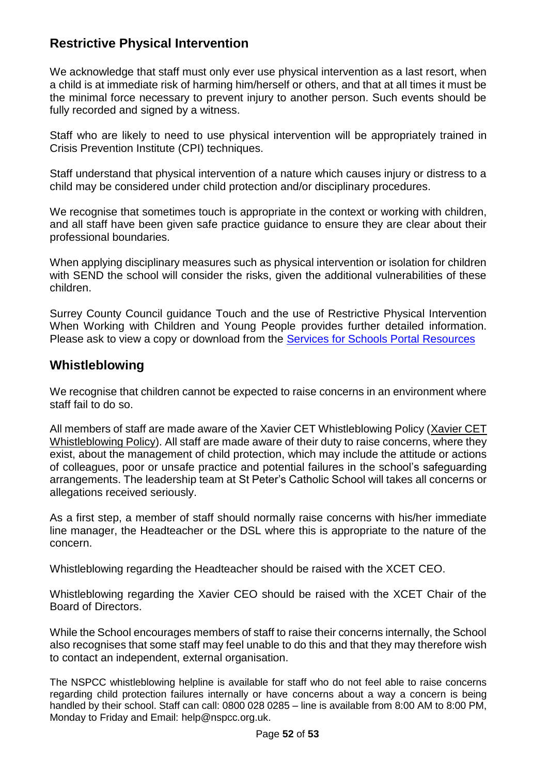### **Restrictive Physical Intervention**

We acknowledge that staff must only ever use physical intervention as a last resort, when a child is at immediate risk of harming him/herself or others, and that at all times it must be the minimal force necessary to prevent injury to another person. Such events should be fully recorded and signed by a witness.

Staff who are likely to need to use physical intervention will be appropriately trained in Crisis Prevention Institute (CPI) techniques.

Staff understand that physical intervention of a nature which causes injury or distress to a child may be considered under child protection and/or disciplinary procedures.

We recognise that sometimes touch is appropriate in the context or working with children, and all staff have been given safe practice guidance to ensure they are clear about their professional boundaries.

When applying disciplinary measures such as physical intervention or isolation for children with SEND the school will consider the risks, given the additional vulnerabilities of these children.

Surrey County Council guidance Touch and the use of Restrictive Physical Intervention When Working with Children and Young People provides further detailed information. Please ask to view a copy or download from the [Services for Schools Portal](https://servicesforschools.surreycc.gov.uk/) Resources

### **Whistleblowing**

We recognise that children cannot be expected to raise concerns in an environment where staff fail to do so.

All members of staff are made aware of the Xavier CET Whistleblowing Policy [\(Xavier CET](https://xaviercet.org.uk/wp-content/uploads/2021/01/Whistleblowing-Policy.pdf)  [Whistleblowing Policy\)](https://xaviercet.org.uk/wp-content/uploads/2021/01/Whistleblowing-Policy.pdf). All staff are made aware of their duty to raise concerns, where they exist, about the management of child protection, which may include the attitude or actions of colleagues, poor or unsafe practice and potential failures in the school's safeguarding arrangements. The leadership team at St Peter's Catholic School will takes all concerns or allegations received seriously.

As a first step, a member of staff should normally raise concerns with his/her immediate line manager, the Headteacher or the DSL where this is appropriate to the nature of the concern.

Whistleblowing regarding the Headteacher should be raised with the XCET CEO.

Whistleblowing regarding the Xavier CEO should be raised with the XCET Chair of the Board of Directors.

While the School encourages members of staff to raise their concerns internally, the School also recognises that some staff may feel unable to do this and that they may therefore wish to contact an independent, external organisation.

The NSPCC whistleblowing helpline is available for staff who do not feel able to raise concerns regarding child protection failures internally or have concerns about a way a concern is being handled by their school. Staff can call: 0800 028 0285 – line is available from 8:00 AM to 8:00 PM, Monday to Friday and Email: [help@nspcc.org.uk.](mailto:help@nspcc.org.uk)